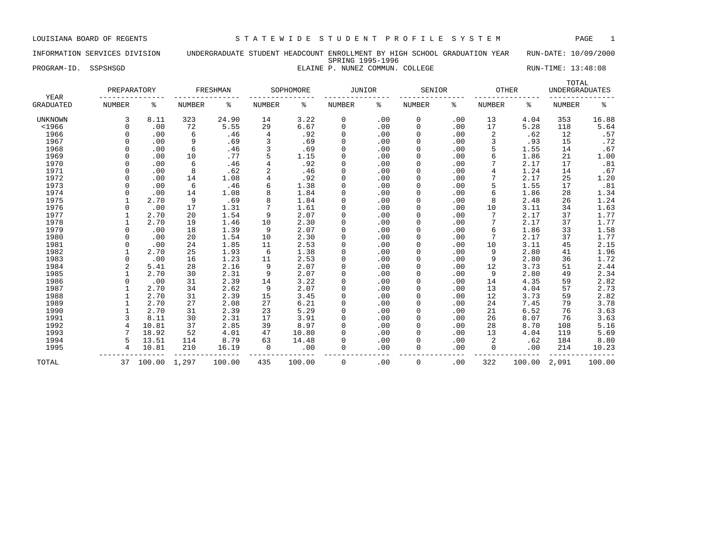### INFORMATION SERVICES DIVISION UNDERGRADUATE STUDENT HEADCOUNT ENROLLMENT BY HIGH SCHOOL GRADUATION YEAR RUN-DATE: 10/09/2000 SPRING 1995-1996 PROGRAM-ID. SSPSHSGD **ELAINE P. NUNEZ COMMUN. COLLEGE** RUN-TIME: 13:48:08

| YEAR             | PREPARATORY    |        |               | FRESHMAN |                | SOPHOMORE | <b>JUNIOR</b> |     | SENIOR        |     | <b>OTHER</b>  |        | TOTAL<br><b>UNDERGRADUATES</b> |        |
|------------------|----------------|--------|---------------|----------|----------------|-----------|---------------|-----|---------------|-----|---------------|--------|--------------------------------|--------|
| <b>GRADUATED</b> | <b>NUMBER</b>  | ႜ      | <b>NUMBER</b> | နွ       | <b>NUMBER</b>  | ႜ         | NUMBER        | ႜ   | <b>NUMBER</b> | ႜ   | <b>NUMBER</b> | ႜ      | <b>NUMBER</b>                  | ್ಠಿ    |
| UNKNOWN          | 3              | 8.11   | 323           | 24.90    | 14             | 3.22      | 0             | .00 | $\mathbf 0$   | .00 | 13            | 4.04   | 353                            | 16.88  |
| $<$ 1966         | $\Omega$       | .00    | 72            | 5.55     | 29             | 6.67      | 0             | .00 | $\Omega$      | .00 | 17            | 5.28   | 118                            | 5.64   |
| 1966             | $\Omega$       | .00    | 6             | .46      | 4              | .92       | 0             | .00 | $\Omega$      | .00 | 2             | .62    | 12                             | .57    |
| 1967             | $\Omega$       | .00    | 9             | .69      | 3              | .69       | 0             | .00 |               | .00 | 3             | .93    | 15                             | .72    |
| 1968             | $\Omega$       | .00    | 6             | .46      | 3              | .69       | 0             | .00 |               | .00 | 5             | 1.55   | 14                             | .67    |
| 1969             |                | .00    | 10            | .77      | 5              | 1.15      | 0             | .00 |               | .00 | 6             | 1.86   | 21                             | 1.00   |
| 1970             | $\Omega$       | .00    | 6             | .46      |                | .92       | $\mathbf 0$   | .00 |               | .00 |               | 2.17   | 17                             | .81    |
| 1971             | $\Omega$       | .00    | 8             | .62      | $\overline{2}$ | .46       | 0             | .00 | $\Omega$      | .00 | 4             | 1.24   | 14                             | .67    |
| 1972             | $\Omega$       | .00    | 14            | 1.08     |                | .92       | 0             | .00 | $\Omega$      | .00 | 7             | 2.17   | 25                             | 1.20   |
| 1973             |                | .00    | 6             | .46      | б              | 1.38      | 0             | .00 | $\Omega$      | .00 | 5             | 1.55   | 17                             | .81    |
| 1974             |                | .00    | 14            | 1.08     | 8              | 1.84      | 0             | .00 |               | .00 | 6             | 1.86   | 28                             | 1.34   |
| 1975             |                | 2.70   | 9             | .69      | 8              | 1.84      | 0             | .00 |               | .00 | 8             | 2.48   | 26                             | 1.24   |
| 1976             | $\Omega$       | .00    | 17            | 1.31     |                | 1.61      | $\Omega$      | .00 |               | .00 | 10            | 3.11   | 34                             | 1.63   |
| 1977             |                | 2.70   | 20            | 1.54     | 9              | 2.07      | 0             | .00 |               | .00 | 7             | 2.17   | 37                             | 1.77   |
| 1978             |                | 2.70   | 19            | 1.46     | 10             | 2.30      |               | .00 |               | .00 |               | 2.17   | 37                             | 1.77   |
| 1979             | $\Omega$       | .00    | 18            | 1.39     | 9              | 2.07      | 0             | .00 | $\Omega$      | .00 | 6             | 1.86   | 33                             | 1.58   |
| 1980             | $\Omega$       | .00    | 20            | 1.54     | 10             | 2.30      | 0             | .00 |               | .00 | 7             | 2.17   | 37                             | 1.77   |
| 1981             | $\Omega$       | .00    | 24            | 1.85     | 11             | 2.53      | 0             | .00 |               | .00 | 10            | 3.11   | 45                             | 2.15   |
| 1982             |                | 2.70   | 25            | 1.93     | $\epsilon$     | 1.38      | 0             | .00 |               | .00 | 9             | 2.80   | 41                             | 1.96   |
| 1983             | $\Omega$       | .00    | 16            | 1.23     | 11             | 2.53      | 0             | .00 |               | .00 | 9             | 2.80   | 36                             | 1.72   |
| 1984             | $\overline{c}$ | 5.41   | 28            | 2.16     | 9              | 2.07      | 0             | .00 | $\Omega$      | .00 | 12            | 3.73   | 51                             | 2.44   |
| 1985             |                | 2.70   | 30            | 2.31     | 9              | 2.07      | 0             | .00 | $\Omega$      | .00 | 9             | 2.80   | 49                             | 2.34   |
| 1986             |                | .00    | 31            | 2.39     | 14             | 3.22      | 0             | .00 | $\Omega$      | .00 | 14            | 4.35   | 59                             | 2.82   |
| 1987             |                | 2.70   | 34            | 2.62     | 9              | 2.07      | 0             | .00 |               | .00 | 13            | 4.04   | 57                             | 2.73   |
| 1988             |                | 2.70   | 31            | 2.39     | 15             | 3.45      | 0             | .00 |               | .00 | 12            | 3.73   | 59                             | 2.82   |
| 1989             |                | 2.70   | 27            | 2.08     | 27             | 6.21      | 0             | .00 |               | .00 | 24            | 7.45   | 79                             | 3.78   |
| 1990             |                | 2.70   | 31            | 2.39     | 23             | 5.29      | 0             | .00 | $\Omega$      | .00 | 21            | 6.52   | 76                             | 3.63   |
| 1991             |                | 8.11   | 30            | 2.31     | 17             | 3.91      | $\Omega$      | .00 | $\Omega$      | .00 | 26            | 8.07   | 76                             | 3.63   |
| 1992             | $\overline{4}$ | 10.81  | 37            | 2.85     | 39             | 8.97      | 0             | .00 | $\Omega$      | .00 | 28            | 8.70   | 108                            | 5.16   |
| 1993             |                | 18.92  | 52            | 4.01     | 47             | 10.80     | 0             | .00 |               | .00 | 13            | 4.04   | 119                            | 5.69   |
| 1994             | 5              | 13.51  | 114           | 8.79     | 63             | 14.48     | 0             | .00 |               | .00 | 2             | .62    | 184                            | 8.80   |
| 1995             |                | 10.81  | 210           | 16.19    | 0              | .00       | 0             | .00 | $\Omega$      | .00 | $\Omega$      | .00    | 214                            | 10.23  |
| TOTAL            | 37             | 100.00 | 1,297         | 100.00   | 435            | 100.00    | $\Omega$      | .00 | $\mathbf 0$   | .00 | 322           | 100.00 | 2,091                          | 100.00 |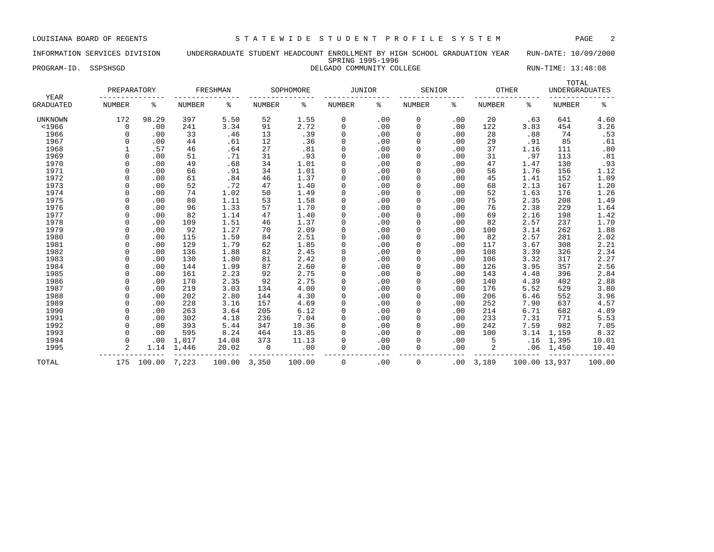### INFORMATION SERVICES DIVISION UNDERGRADUATE STUDENT HEADCOUNT ENROLLMENT BY HIGH SCHOOL GRADUATION YEAR RUN-DATE: 10/09/2000 SPRING 1995-1996 PROGRAM-ID. SSPSHSGD **DELGADO COMMUNITY COLLEGE** RUN-TIME: 13:48:08

| YEAR             | PREPARATORY    |        |               | FRESHMAN |               | SOPHOMORE | JUNIOR        |     | SENIOR        |     | OTHER         |               | TOTAL<br><b>UNDERGRADUATES</b> |        |
|------------------|----------------|--------|---------------|----------|---------------|-----------|---------------|-----|---------------|-----|---------------|---------------|--------------------------------|--------|
| <b>GRADUATED</b> | <b>NUMBER</b>  | န့     | <b>NUMBER</b> | နွ       | <b>NUMBER</b> | ి         | <b>NUMBER</b> | ៖   | <b>NUMBER</b> | နွ  | <b>NUMBER</b> | ి             | <b>NUMBER</b>                  | နွ     |
| <b>UNKNOWN</b>   | 172            | 98.29  | 397           | 5.50     | 52            | 1.55      | 0             | .00 | 0             | .00 | 20            | .63           | 641                            | 4.60   |
| $<$ 1966         | 0              | .00    | 241           | 3.34     | 91            | 2.72      | 0             | .00 | 0             | .00 | 122           | 3.83          | 454                            | 3.26   |
| 1966             | $\Omega$       | .00    | 33            | .46      | 13            | .39       | 0             | .00 | 0             | .00 | 28            | .88           | 74                             | .53    |
| 1967             | n              | .00    | 44            | .61      | 12            | .36       | 0             | .00 | $\mathbf 0$   | .00 | 29            | .91           | 85                             | .61    |
| 1968             |                | .57    | 46            | .64      | 27            | .81       | $\Omega$      | .00 | 0             | .00 | 37            | 1.16          | 111                            | .80    |
| 1969             |                | .00    | 51            | .71      | 31            | .93       | 0             | .00 | $\mathbf 0$   | .00 | 31            | .97           | 113                            | .81    |
| 1970             | $\Omega$       | .00    | 49            | .68      | 34            | 1.01      | 0             | .00 | 0             | .00 | 47            | 1.47          | 130                            | .93    |
| 1971             | $\cap$         | .00    | 66            | .91      | 34            | 1.01      | 0             | .00 | $\mathbf 0$   | .00 | 56            | 1.76          | 156                            | 1.12   |
| 1972             |                | .00    | 61            | .84      | 46            | 1.37      | 0             | .00 | $\Omega$      | .00 | 45            | 1.41          | 152                            | 1.09   |
| 1973             |                | .00    | 52            | .72      | 47            | 1.40      | 0             | .00 | $\Omega$      | .00 | 68            | 2.13          | 167                            | 1.20   |
| 1974             |                | .00    | 74            | 1.02     | 50            | 1.49      | 0             | .00 |               | .00 | 52            | 1.63          | 176                            | 1.26   |
| 1975             | $\cap$         | .00    | 80            | 1.11     | 53            | 1.58      | 0             | .00 |               | .00 | 75            | 2.35          | 208                            | 1.49   |
| 1976             | $\cap$         | .00    | 96            | 1.33     | 57            | 1.70      | 0             | .00 | $\Omega$      | .00 | 76            | 2.38          | 229                            | 1.64   |
| 1977             | $\cap$         | .00    | 82            | 1.14     | 47            | 1.40      | 0             | .00 | $\mathbf 0$   | .00 | 69            | 2.16          | 198                            | 1.42   |
| 1978             | $\cap$         | .00    | 109           | 1.51     | 46            | 1.37      | $\Omega$      | .00 | $\Omega$      | .00 | 82            | 2.57          | 237                            | 1.70   |
| 1979             | $\Omega$       | .00    | 92            | 1.27     | 70            | 2.09      | 0             | .00 | 0             | .00 | 100           | 3.14          | 262                            | 1.88   |
| 1980             | $\Omega$       | .00    | 115           | 1.59     | 84            | 2.51      | 0             | .00 | $\mathbf 0$   | .00 | 82            | 2.57          | 281                            | 2.02   |
| 1981             | $\Omega$       | .00    | 129           | 1.79     | 62            | 1.85      | $\mathbf 0$   | .00 | $\mathbf 0$   | .00 | 117           | 3.67          | 308                            | 2.21   |
| 1982             | $\Omega$       | .00    | 136           | 1.88     | 82            | 2.45      | $\mathbf 0$   | .00 | $\mathbf 0$   | .00 | 108           | 3.39          | 326                            | 2.34   |
| 1983             | $\Omega$       | .00    | 130           | 1.80     | 81            | 2.42      | 0             | .00 | 0             | .00 | 106           | 3.32          | 317                            | 2.27   |
| 1984             | $\Omega$       | .00    | 144           | 1.99     | 87            | 2.60      | 0             | .00 | 0             | .00 | 126           | 3.95          | 357                            | 2.56   |
| 1985             |                | .00    | 161           | 2.23     | 92            | 2.75      | 0             | .00 | 0             | .00 | 143           | 4.48          | 396                            | 2.84   |
| 1986             |                | .00    | 170           | 2.35     | 92            | 2.75      | 0             | .00 | $\Omega$      | .00 | 140           | 4.39          | 402                            | 2.88   |
| 1987             | $\cap$         | .00    | 219           | 3.03     | 134           | 4.00      | $\Omega$      | .00 | $\Omega$      | .00 | 176           | 5.52          | 529                            | 3.80   |
| 1988             | $\cap$         | .00    | 202           | 2.80     | 144           | 4.30      | 0             | .00 | 0             | .00 | 206           | 6.46          | 552                            | 3.96   |
| 1989             | $\cap$         | .00    | 228           | 3.16     | 157           | 4.69      | 0             | .00 | $\Omega$      | .00 | 252           | 7.90          | 637                            | 4.57   |
| 1990             |                | .00    | 263           | 3.64     | 205           | 6.12      | 0             | .00 | $\Omega$      | .00 | 214           | 6.71          | 682                            | 4.89   |
| 1991             | $\Omega$       | .00    | 302           | 4.18     | 236           | 7.04      | $\Omega$      | .00 | 0             | .00 | 233           | 7.31          | 771                            | 5.53   |
| 1992             |                | .00    | 393           | 5.44     | 347           | 10.36     | 0             | .00 | $\mathbf 0$   | .00 | 242           | 7.59          | 982                            | 7.05   |
| 1993             | $\Omega$       | .00    | 595           | 8.24     | 464           | 13.85     | 0             | .00 | $\mathbf 0$   | .00 | 100           | 3.14          | 1,159                          | 8.32   |
| 1994             | $\Omega$       | .00    | 1,017         | 14.08    | 373           | 11.13     | 0             | .00 |               | .00 | 5             | .16           | 1,395                          | 10.01  |
| 1995             | $\overline{2}$ | 1.14   | 1,446         | 20.02    | 0             | .00       | 0             | .00 | 0             | .00 | 2             | .06           | 1,450                          | 10.40  |
| TOTAL            | 175            | 100.00 | 7,223         | 100.00   | 3,350         | 100.00    | $\Omega$      | .00 | 0             | .00 | 3,189         | 100.00 13,937 |                                | 100.00 |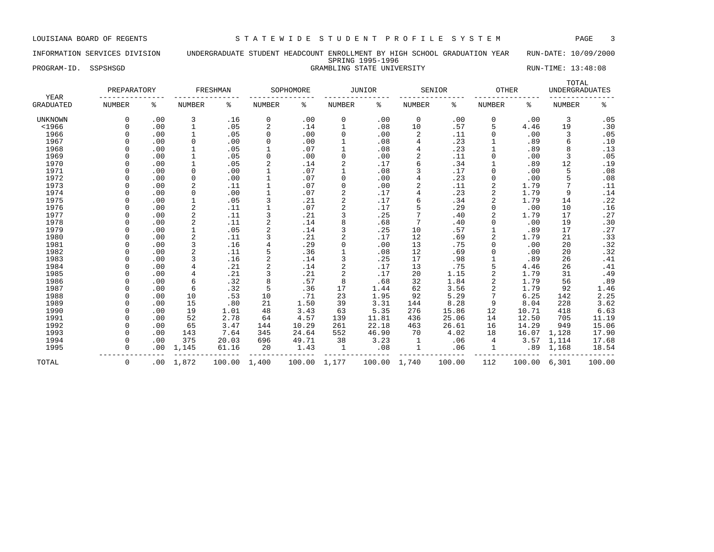# INFORMATION SERVICES DIVISION UNDERGRADUATE STUDENT HEADCOUNT ENROLLMENT BY HIGH SCHOOL GRADUATION YEAR RUN-DATE: 10/09/2000 SPRING 1995-1996

PROGRAM-ID. SSPSHSGD STATE UNIVERSITY STATE UNIVERSITY RUN-TIME: 13:48:08

| YEAR             | PREPARATORY   |     |                | FRESHMAN |                | SOPHOMORE    |                | <b>JUNIOR</b> |               | SENIOR | OTHER          |        | TOTAL<br><b>UNDERGRADUATES</b> |        |
|------------------|---------------|-----|----------------|----------|----------------|--------------|----------------|---------------|---------------|--------|----------------|--------|--------------------------------|--------|
| <b>GRADUATED</b> | <b>NUMBER</b> | နွ  | <b>NUMBER</b>  | ႜ        | NUMBER         | ႜ            | NUMBER         | ႜ             | <b>NUMBER</b> | ႜ      | <b>NUMBER</b>  | ႜ      | <b>NUMBER</b>                  | နွ     |
| <b>UNKNOWN</b>   | 0             | .00 | 3              | .16      | 0              | .00          | 0              | .00           | 0             | .00    | 0              | .00    | 3                              | .05    |
| $<$ 1966         | $\Omega$      | .00 | 1              | .05      | 2              | .14          | 1              | .08           | 10            | .57    | 5              | 4.46   | 19                             | .30    |
| 1966             | $\Omega$      | .00 | 1              | .05      | 0              | .00          | 0              | .00           | 2             | .11    | 0              | .00    | 3                              | .05    |
| 1967             | $\Omega$      | .00 | $\mathbf 0$    | .00      | 0              | .00          |                | .08           | 4             | .23    |                | .89    | 6                              | .10    |
| 1968             | $\Omega$      | .00 |                | .05      |                | .07          |                | .08           |               | .23    |                | .89    | 8                              | .13    |
| 1969             | $\Omega$      | .00 | $\mathbf{1}$   | .05      | $\mathbf 0$    | .00          | $\Omega$       | .00           | $\sqrt{2}$    | .11    | $\Omega$       | .00    | 3                              | .05    |
| 1970             | $\cap$        | .00 | $\mathbf 1$    | .05      | 2              | .14          | 2              | .17           |               | .34    |                | .89    | 12                             | .19    |
| 1971             |               | .00 | 0              | .00      |                | .07          |                | .08           |               | .17    | $\Omega$       | .00    | 5                              | .08    |
| 1972             |               | .00 | 0              | .00      |                | .07          | 0              | .00           |               | .23    | $\Omega$       | .00    | 5                              | .08    |
| 1973             | $\cap$        | .00 | $\overline{2}$ | .11      |                | .07          | 0              | .00           |               | .11    | 2              | 1.79   |                                | .11    |
| 1974             | $\cap$        | .00 | $\mathbf 0$    | .00      |                | .07          |                | .17           | 4             | .23    | 2              | 1.79   | 9                              | .14    |
| 1975             | $\Omega$      | .00 | 1              | .05      | 3              | .21          | 2              | .17           |               | .34    | 2              | 1.79   | 14                             | .22    |
| 1976             | $\Omega$      | .00 | $\sqrt{2}$     | .11      |                | .07          | 2              | .17           |               | .29    | $\Omega$       | .00    | 10                             | .16    |
| 1977             | $\Omega$      | .00 | $\sqrt{2}$     | .11      | 3              | .21          | 3              | .25           |               | .40    | 2              | 1.79   | 17                             | .27    |
| 1978             | $\Omega$      | .00 | $\overline{c}$ | .11      | 2              | .14          | 8              | .68           | 7             | .40    | 0              | .00    | 19                             | .30    |
| 1979             | $\Omega$      | .00 | $\mathbf{1}$   | .05      | 2              | .14          | 3              | .25           | 10            | .57    |                | .89    | 17                             | .27    |
| 1980             | $\Omega$      | .00 | $\sqrt{2}$     | .11      | 3              | .21          | $\overline{a}$ | .17           | 12            | .69    | 2              | 1.79   | 21                             | .33    |
| 1981             | $\cap$        | .00 | 3              | .16      | $\overline{4}$ | .29          | 0              | .00           | 13            | .75    | 0              | .00    | 20                             | .32    |
| 1982             | $\Omega$      | .00 | $\overline{c}$ | .11      | 5              | .36          |                | .08           | 12            | .69    | $\Omega$       | .00    | 20                             | .32    |
| 1983             | $\Omega$      | .00 | 3              | .16      | 2              | .14          | 3              | .25           | 17            | .98    |                | .89    | 26                             | .41    |
| 1984             | $\Omega$      | .00 | 4              | .21      | $\overline{a}$ | .14          | $\overline{a}$ | .17           | 13            | .75    | 5              | 4.46   | 26                             | .41    |
| 1985             | $\Omega$      | .00 | $\overline{4}$ | .21      | 3              | .21          | $\overline{2}$ | .17           | 20            | 1.15   | $\overline{2}$ | 1.79   | 31                             | .49    |
| 1986             | $\Omega$      | .00 | 6              | .32      | 8              | .57          | 8              | .68           | 32            | 1.84   | $\overline{a}$ | 1.79   | 56                             | .89    |
| 1987             | $\Omega$      | .00 | 6              | .32      | 5              | .36          | 17             | 1.44          | 62            | 3.56   | 2              | 1.79   | 92                             | 1.46   |
| 1988             | $\Omega$      | .00 | 10             | .53      | 10             | .71          | 23             | 1.95          | 92            | 5.29   |                | 6.25   | 142                            | 2.25   |
| 1989             | $\Omega$      | .00 | 15             | .80      | 21             | 1.50         | 39             | 3.31          | 144           | 8.28   | 9              | 8.04   | 228                            | 3.62   |
| 1990             | $\Omega$      | .00 | 19             | 1.01     | 48             | 3.43         | 63             | 5.35          | 276           | 15.86  | 12             | 10.71  | 418                            | 6.63   |
| 1991             | $\cap$        | .00 | 52             | 2.78     | 64             | 4.57         | 139            | 11.81         | 436           | 25.06  | 14             | 12.50  | 705                            | 11.19  |
| 1992             |               | .00 | 65             | 3.47     | 144            | 10.29        | 261            | 22.18         | 463           | 26.61  | 16             | 14.29  | 949                            | 15.06  |
| 1993             | $\cap$        | .00 | 143            | 7.64     | 345            | 24.64        | 552            | 46.90         | 70            | 4.02   | 18             | 16.07  | 1,128                          | 17.90  |
| 1994             | $\Omega$      | .00 | 375            | 20.03    | 696            | 49.71        | 38             | 3.23          | 1             | .06    | 4              | 3.57   | 1,114                          | 17.68  |
| 1995             | $\Omega$      | .00 | 1,145          | 61.16    | 20             | 1.43         | 1              | .08           | 1             | .06    |                | .89    | 1,168                          | 18.54  |
| TOTAL            | $\mathbf 0$   | .00 | 1,872          | 100.00   | 1,400          | 100.00 1,177 |                | 100.00        | 1,740         | 100.00 | 112            | 100.00 | 6,301                          | 100.00 |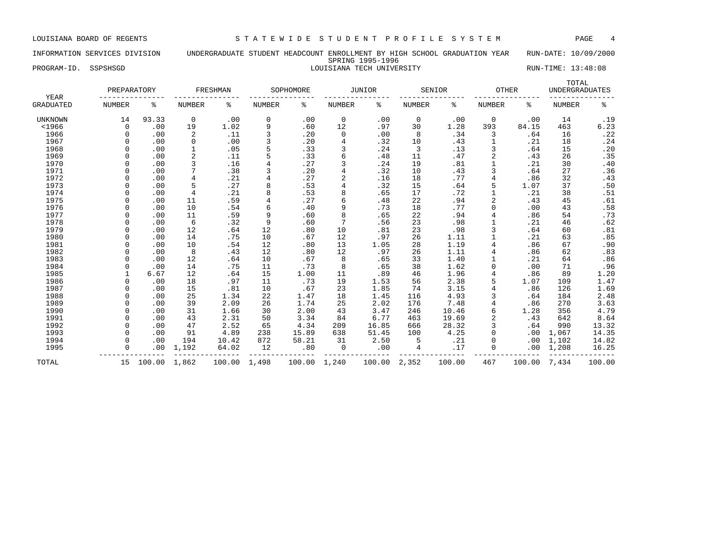### INFORMATION SERVICES DIVISION UNDERGRADUATE STUDENT HEADCOUNT ENROLLMENT BY HIGH SCHOOL GRADUATION YEAR RUN-DATE: 10/09/2000 SPRING 1995-1996 PROGRAM-ID. SSPSHSGD CONSTANA TECH UNIVERSITY NEWSTAM-ID. SSPSHSGD STATES AND LOUISIANA TECH UNIVERSITY

| YEAR             | PREPARATORY   |        |                | FRESHMAN |                | SOPHOMORE |                | <b>JUNIOR</b> | SENIOR        |        | <b>OTHER</b>   |        | TOTAL<br><b>UNDERGRADUATES</b> |        |
|------------------|---------------|--------|----------------|----------|----------------|-----------|----------------|---------------|---------------|--------|----------------|--------|--------------------------------|--------|
| <b>GRADUATED</b> | <b>NUMBER</b> | နွ     | <b>NUMBER</b>  | ి        | <b>NUMBER</b>  | %         | <b>NUMBER</b>  | ి             | <b>NUMBER</b> | နွ     | <b>NUMBER</b>  | နွ     | <b>NUMBER</b>                  | နွ     |
| <b>UNKNOWN</b>   | 14            | 93.33  | $\mathbf 0$    | .00      | $\mathbf 0$    | .00       | $\mathbf 0$    | .00           | $\mathbf 0$   | .00    | $\Omega$       | .00    | 14                             | .19    |
| $<$ 1966         | $\mathbf 0$   | .00    | 19             | 1.02     | 9              | .60       | 12             | .97           | 30            | 1.28   | 393            | 84.15  | 463                            | 6.23   |
| 1966             | $\Omega$      | .00    | 2              | .11      | 3              | .20       | $\mathbf 0$    | .00           | 8             | .34    | 3              | .64    | 16                             | .22    |
| 1967             | $\Omega$      | .00    | $\mathsf 0$    | .00      | $\overline{3}$ | .20       | $\overline{4}$ | .32           | 10            | .43    |                | .21    | 18                             | .24    |
| 1968             | $\Omega$      | .00    | $\mathbf{1}$   | .05      | 5              | .33       | 3              | .24           | 3             | .13    | 3              | .64    | 15                             | .20    |
| 1969             | $\Omega$      | .00    | 2              | .11      | 5              | .33       | 6              | .48           | 11            | .47    | $\overline{2}$ | .43    | 26                             | .35    |
| 1970             | $\Omega$      | .00    | 3              | .16      | $\overline{4}$ | .27       | 3              | .24           | 19            | .81    | $\mathbf{1}$   | .21    | 30                             | .40    |
| 1971             | $\Omega$      | .00    | 7              | .38      | $\overline{3}$ | .20       | $\overline{4}$ | .32           | 10            | .43    | 3              | .64    | 27                             | .36    |
| 1972             | $\Omega$      | .00    | 4              | .21      | $\overline{4}$ | .27       | 2              | .16           | 18            | .77    |                | .86    | 32                             | .43    |
| 1973             | $\Omega$      | .00    | 5              | .27      | 8              | .53       | $\overline{4}$ | .32           | 15            | .64    | 5              | 1.07   | 37                             | .50    |
| 1974             | $\Omega$      | .00    | $\overline{4}$ | .21      | 8              | .53       | 8              | .65           | 17            | .72    | $\mathbf{1}$   | .21    | 38                             | .51    |
| 1975             | $\Omega$      | .00    | 11             | .59      | 4              | .27       | 6              | .48           | 22            | .94    | $\overline{2}$ | .43    | 45                             | .61    |
| 1976             | $\Omega$      | .00    | 10             | .54      | 6              | .40       | 9              | .73           | 18            | .77    | $\Omega$       | .00    | 43                             | .58    |
| 1977             | $\cap$        | .00    | 11             | .59      | 9              | .60       | 8              | .65           | 22            | .94    | $\overline{4}$ | .86    | 54                             | .73    |
| 1978             | $\Omega$      | .00    | 6              | .32      | 9              | .60       | 7              | .56           | 23            | .98    | $\mathbf{1}$   | .21    | 46                             | .62    |
| 1979             | $\Omega$      | .00    | 12             | .64      | 12             | .80       | 10             | .81           | 23            | .98    | 3              | .64    | 60                             | .81    |
| 1980             | $\Omega$      | .00    | 14             | .75      | 10             | .67       | 12             | .97           | 26            | 1.11   |                | .21    | 63                             | .85    |
| 1981             | $\Omega$      | .00    | 10             | .54      | 12             | .80       | 13             | 1.05          | 28            | 1.19   | $\overline{4}$ | .86    | 67                             | .90    |
| 1982             | $\Omega$      | .00    | 8              | .43      | 12             | .80       | 12             | .97           | 26            | 1.11   | $\overline{4}$ | .86    | 62                             | .83    |
| 1983             | $\Omega$      | .00    | 12             | .64      | 10             | .67       | 8              | .65           | 33            | 1.40   |                | .21    | 64                             | .86    |
| 1984             | $\Omega$      | .00    | 14             | .75      | 11             | .73       | 8              | .65           | 38            | 1.62   | $\Omega$       | .00    | 71                             | .96    |
| 1985             | 1             | 6.67   | 12             | .64      | 15             | 1.00      | 11             | .89           | 46            | 1.96   | $\overline{4}$ | .86    | 89                             | 1.20   |
| 1986             | $\Omega$      | .00    | 18             | .97      | 11             | .73       | 19             | 1.53          | 56            | 2.38   | 5              | 1.07   | 109                            | 1.47   |
| 1987             | $\Omega$      | .00    | 15             | .81      | 10             | .67       | 23             | 1.85          | 74            | 3.15   | 4              | .86    | 126                            | 1.69   |
| 1988             | $\Omega$      | .00    | 25             | 1.34     | 22             | 1.47      | 18             | 1.45          | 116           | 4.93   | 3              | .64    | 184                            | 2.48   |
| 1989             | $\Omega$      | .00    | 39             | 2.09     | 26             | 1.74      | 25             | 2.02          | 176           | 7.48   | $\overline{4}$ | .86    | 270                            | 3.63   |
| 1990             | $\Omega$      | .00    | 31             | 1.66     | 30             | 2.00      | 43             | 3.47          | 246           | 10.46  | 6              | 1.28   | 356                            | 4.79   |
| 1991             | $\Omega$      | .00    | 43             | 2.31     | 50             | 3.34      | 84             | 6.77          | 463           | 19.69  | $\overline{2}$ | .43    | 642                            | 8.64   |
| 1992             | $\Omega$      | .00    | 47             | 2.52     | 65             | 4.34      | 209            | 16.85         | 666           | 28.32  | 3              | .64    | 990                            | 13.32  |
| 1993             | $\Omega$      | .00    | 91             | 4.89     | 238            | 15.89     | 638            | 51.45         | 100           | 4.25   | $\Omega$       | .00    | 1,067                          | 14.35  |
| 1994             | $\Omega$      | .00    | 194            | 10.42    | 872            | 58.21     | 31             | 2.50          | 5             | .21    | $\Omega$       | .00    | 1,102                          | 14.82  |
| 1995             | $\Omega$      | .00    | 1,192          | 64.02    | 12             | .80       | $\mathbf 0$    | .00           | 4             | .17    | $\Omega$       | .00    | 1,208                          | 16.25  |
| TOTAL            | 15            | 100.00 | 1,862          | 100.00   | 1,498          | 100.00    | 1,240          | 100.00        | 2,352         | 100.00 | 467            | 100.00 | 7,434                          | 100.00 |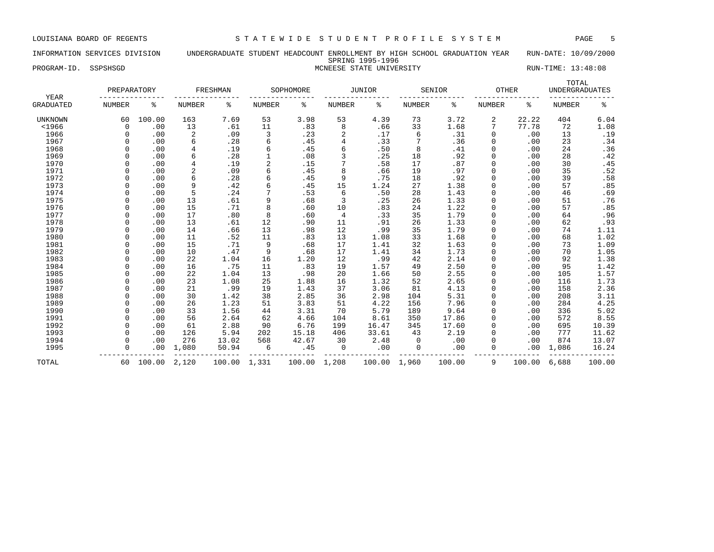# INFORMATION SERVICES DIVISION UNDERGRADUATE STUDENT HEADCOUNT ENROLLMENT BY HIGH SCHOOL GRADUATION YEAR RUN-DATE: 10/09/2000 SPRING 1995-1996

# PROGRAM-ID. SSPSHSGD STATE STATE UNIVERSITY RUN-TIME: 13:48:08

| YEAR             | PREPARATORY   |        |                | FRESHMAN |                | SOPHOMORE |               | JUNIOR |               | SENIOR | OTHER         |        | TOTAL<br><b>UNDERGRADUATES</b> |        |
|------------------|---------------|--------|----------------|----------|----------------|-----------|---------------|--------|---------------|--------|---------------|--------|--------------------------------|--------|
| <b>GRADUATED</b> | <b>NUMBER</b> | ి      | <b>NUMBER</b>  | န့       | <b>NUMBER</b>  | ႜ         | <b>NUMBER</b> | နွ     | <b>NUMBER</b> | ႜ      | <b>NUMBER</b> | ႜ      | <b>NUMBER</b>                  | နွ     |
| <b>UNKNOWN</b>   | 60            | 100.00 | 163            | 7.69     | 53             | 3.98      | 53            | 4.39   | 73            | 3.72   | 2             | 22.22  | 404                            | 6.04   |
| $<$ 1966         | $\Omega$      | .00    | 13             | .61      | 11             | .83       | 8             | .66    | 33            | 1.68   | 7             | 77.78  | 72                             | 1.08   |
| 1966             | $\Omega$      | .00    | 2              | .09      | 3              | .23       | 2             | .17    | 6             | .31    | 0             | .00    | 13                             | .19    |
| 1967             |               | .00    | 6              | .28      | 6              | .45       | 4             | .33    |               | .36    | $\Omega$      | .00    | 23                             | .34    |
| 1968             |               | .00    | $\overline{4}$ | .19      | 6              | .45       | 6             | .50    | 8             | .41    |               | .00    | 24                             | .36    |
| 1969             |               | .00    | 6              | .28      |                | .08       |               | .25    | 18            | .92    | $\Omega$      | .00    | 28                             | .42    |
| 1970             |               | .00    | $\overline{4}$ | .19      | $\overline{2}$ | .15       |               | .58    | 17            | .87    | $\Omega$      | .00    | 30                             | .45    |
| 1971             |               | .00    | 2              | .09      | 6              | .45       | 8             | .66    | 19            | .97    | $\Omega$      | .00    | 35                             | .52    |
| 1972             |               | .00    | 6              | .28      | б              | .45       | 9             | .75    | 18            | .92    | $\Omega$      | .00    | 39                             | .58    |
| 1973             |               | .00    | 9              | .42      | 6              | .45       | 15            | 1.24   | 27            | 1.38   | $\Omega$      | .00    | 57                             | .85    |
| 1974             |               | .00    | 5              | .24      | 7              | .53       | 6             | .50    | 28            | 1.43   |               | .00    | 46                             | .69    |
| 1975             |               | .00    | 13             | .61      | 9              | .68       | 3             | .25    | 26            | 1.33   | $\Omega$      | .00    | 51                             | .76    |
| 1976             |               | .00    | 15             | .71      | 8              | .60       | 10            | .83    | 24            | 1.22   | $\Omega$      | .00    | 57                             | .85    |
| 1977             |               | .00    | 17             | .80      | 8              | .60       | 4             | .33    | 35            | 1.79   | $\Omega$      | .00    | 64                             | .96    |
| 1978             |               | .00    | 13             | .61      | 12             | .90       | 11            | .91    | 26            | 1.33   | $\Omega$      | .00    | 62                             | .93    |
| 1979             |               | .00    | 14             | .66      | 13             | .98       | 12            | .99    | 35            | 1.79   | $\Omega$      | .00    | 74                             | 1.11   |
| 1980             |               | .00    | 11             | .52      | 11             | .83       | 13            | 1.08   | 33            | 1.68   |               | .00    | 68                             | 1.02   |
| 1981             |               | .00    | 15             | .71      | 9              | .68       | 17            | 1.41   | 32            | 1.63   | $\Omega$      | .00    | 73                             | 1.09   |
| 1982             |               | .00    | 10             | .47      | 9              | .68       | 17            | 1.41   | 34            | 1.73   | $\Omega$      | .00    | 70                             | 1.05   |
| 1983             |               | .00    | 22             | 1.04     | 16             | 1.20      | 12            | .99    | 42            | 2.14   | $\Omega$      | .00    | 92                             | 1.38   |
| 1984             |               | .00    | 16             | .75      | 11             | .83       | 19            | 1.57   | 49            | 2.50   | $\Omega$      | .00    | 95                             | 1.42   |
| 1985             |               | .00    | 22             | 1.04     | 13             | .98       | 20            | 1.66   | 50            | 2.55   | $\Omega$      | .00    | 105                            | 1.57   |
| 1986             |               | .00    | 23             | 1.08     | 25             | 1.88      | 16            | 1.32   | 52            | 2.65   |               | .00    | 116                            | 1.73   |
| 1987             | $\cap$        | .00    | 21             | .99      | 19             | 1.43      | 37            | 3.06   | 81            | 4.13   | $\Omega$      | .00    | 158                            | 2.36   |
| 1988             | $\cap$        | .00    | 30             | 1.42     | 38             | 2.85      | 36            | 2.98   | 104           | 5.31   | $\Omega$      | .00    | 208                            | 3.11   |
| 1989             |               | .00    | 26             | 1.23     | 51             | 3.83      | 51            | 4.22   | 156           | 7.96   | $\Omega$      | .00    | 284                            | 4.25   |
| 1990             |               | .00    | 33             | 1.56     | 44             | 3.31      | 70            | 5.79   | 189           | 9.64   | $\Omega$      | .00    | 336                            | 5.02   |
| 1991             |               | .00    | 56             | 2.64     | 62             | 4.66      | 104           | 8.61   | 350           | 17.86  | $\Omega$      | .00    | 572                            | 8.55   |
| 1992             |               | .00    | 61             | 2.88     | 90             | 6.76      | 199           | 16.47  | 345           | 17.60  |               | .00    | 695                            | 10.39  |
| 1993             |               | .00    | 126            | 5.94     | 202            | 15.18     | 406           | 33.61  | 43            | 2.19   | $\Omega$      | .00    | 777                            | 11.62  |
| 1994             |               | .00    | 276            | 13.02    | 568            | 42.67     | 30            | 2.48   | 0             | .00    | $\Omega$      | .00    | 874                            | 13.07  |
| 1995             | $\Omega$      | .00    | 1,080          | 50.94    | 6              | .45       | $\mathbf 0$   | .00    | $\mathbf 0$   | .00    | $\Omega$      | .00    | 1,086                          | 16.24  |
| TOTAL            | 60            | 100.00 | 2,120          | 100.00   | 1,331          | 100.00    | 1,208         | 100.00 | 1,960         | 100.00 | 9             | 100.00 | 6,688                          | 100.00 |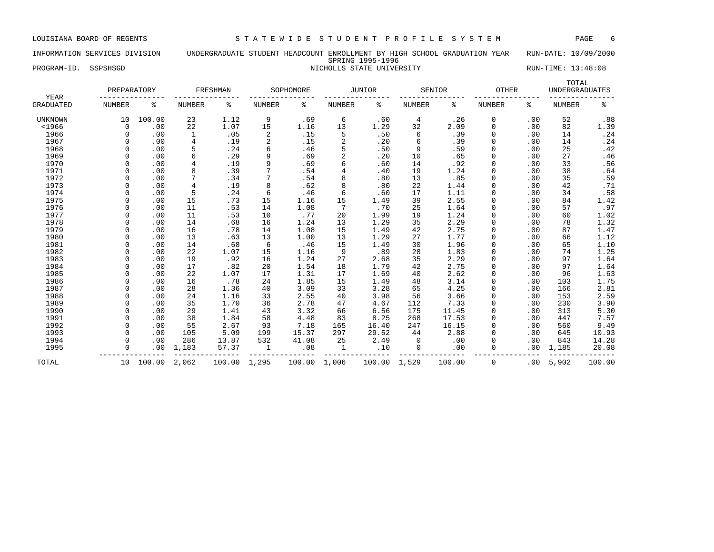### INFORMATION SERVICES DIVISION UNDERGRADUATE STUDENT HEADCOUNT ENROLLMENT BY HIGH SCHOOL GRADUATION YEAR RUN-DATE: 10/09/2000 SPRING 1995-1996 PROGRAM-ID. SSPSHSGD NICHOLLS STATE UNIVERSITY NICHOLLS STATE UNIVERSITY RUN-TIME: 13:48:08

| YEAR           | PREPARATORY   |        |               | FRESHMAN |                | SOPHOMORE |                | JUNIOR |               | SENIOR | OTHER         |     | TOTAL<br><b>UNDERGRADUATES</b> |        |
|----------------|---------------|--------|---------------|----------|----------------|-----------|----------------|--------|---------------|--------|---------------|-----|--------------------------------|--------|
| GRADUATED      | <b>NUMBER</b> | ႜ      | <b>NUMBER</b> | ႜ        | NUMBER         | န့        | <b>NUMBER</b>  | ႜ      | <b>NUMBER</b> | ిక     | <b>NUMBER</b> | ႜ   | <b>NUMBER</b>                  | နွ     |
| <b>UNKNOWN</b> | 10            | 100.00 | 23            | 1.12     | 9              | .69       | 6              | .60    | 4             | .26    | 0             | .00 | 52                             | .88    |
| $<$ 1966       | $\Omega$      | .00    | 22            | 1.07     | 15             | 1.16      | 13             | 1.29   | 32            | 2.09   | $\Omega$      | .00 | 82                             | 1.39   |
| 1966           | O             | .00    | 1             | .05      | 2              | .15       | 5              | .50    | 6             | .39    | $\Omega$      | .00 | 14                             | .24    |
| 1967           | O             | .00    | 4             | .19      | $\overline{2}$ | .15       | $\overline{2}$ | .20    | 6             | .39    | $\Omega$      | .00 | 14                             | .24    |
| 1968           | 0             | .00    | 5             | .24      | 6              | .46       | 5              | .50    | 9             | .59    |               | .00 | 25                             | .42    |
| 1969           | 0             | .00    | 6             | .29      | 9              | .69       | $\overline{2}$ | .20    | 10            | .65    |               | .00 | 27                             | .46    |
| 1970           | 0             | .00    |               | .19      | 9              | .69       | 6              | .60    | 14            | .92    |               | .00 | 33                             | .56    |
| 1971           | O             | .00    | 8             | .39      | 7              | .54       | $\overline{4}$ | .40    | 19            | 1.24   | $\Omega$      | .00 | 38                             | .64    |
| 1972           | 0             | .00    | 7             | .34      | 7              | .54       | 8              | .80    | 13            | .85    | $\Omega$      | .00 | 35                             | .59    |
| 1973           | O             | .00    | 4             | .19      | 8              | .62       | 8              | .80    | 22            | 1.44   | $\Omega$      | .00 | 42                             | .71    |
| 1974           |               | .00    | 5             | .24      | 6              | .46       | 6              | .60    | 17            | 1.11   | $\Omega$      | .00 | 34                             | .58    |
| 1975           |               | .00    | 15            | .73      | 15             | 1.16      | 15             | 1.49   | 39            | 2.55   |               | .00 | 84                             | 1.42   |
| 1976           |               | .00    | 11            | .53      | 14             | 1.08      |                | .70    | 25            | 1.64   |               | .00 | 57                             | .97    |
| 1977           | U             | .00    | 11            | .53      | 10             | .77       | 20             | 1.99   | 19            | 1.24   | $\Omega$      | .00 | 60                             | 1.02   |
| 1978           | U             | .00    | 14            | .68      | 16             | 1.24      | 13             | 1.29   | 35            | 2.29   | $\Omega$      | .00 | 78                             | 1.32   |
| 1979           | O             | .00    | 16            | .78      | 14             | 1.08      | 15             | 1.49   | 42            | 2.75   | $\Omega$      | .00 | 87                             | 1.47   |
| 1980           | O             | .00    | 13            | .63      | 13             | 1.00      | 13             | 1.29   | 27            | 1.77   | $\Omega$      | .00 | 66                             | 1.12   |
| 1981           | O             | .00    | 14            | .68      | 6              | .46       | 15             | 1.49   | 30            | 1.96   | $\Omega$      | .00 | 65                             | 1.10   |
| 1982           | 0             | .00    | 22            | 1.07     | 15             | 1.16      | 9              | .89    | 28            | 1.83   |               | .00 | 74                             | 1.25   |
| 1983           | 0             | .00    | 19            | .92      | 16             | 1.24      | 27             | 2.68   | 35            | 2.29   | $\Omega$      | .00 | 97                             | 1.64   |
| 1984           | O             | .00    | 17            | .82      | 20             | 1.54      | 18             | 1.79   | 42            | 2.75   | $\Omega$      | .00 | 97                             | 1.64   |
| 1985           | O             | .00    | 22            | 1.07     | 17             | 1.31      | 17             | 1.69   | 40            | 2.62   | $\Omega$      | .00 | 96                             | 1.63   |
| 1986           | O             | .00    | 16            | .78      | 24             | 1.85      | 15             | 1.49   | 48            | 3.14   | $\Omega$      | .00 | 103                            | 1.75   |
| 1987           |               | .00    | 28            | 1.36     | 40             | 3.09      | 33             | 3.28   | 65            | 4.25   |               | .00 | 166                            | 2.81   |
| 1988           |               | .00    | 24            | 1.16     | 33             | 2.55      | 40             | 3.98   | 56            | 3.66   |               | .00 | 153                            | 2.59   |
| 1989           | O             | .00    | 35            | 1.70     | 36             | 2.78      | 47             | 4.67   | 112           | 7.33   |               | .00 | 230                            | 3.90   |
| 1990           | O             | .00    | 29            | 1.41     | 43             | 3.32      | 66             | 6.56   | 175           | 11.45  |               | .00 | 313                            | 5.30   |
| 1991           | O             | .00    | 38            | 1.84     | 58             | 4.48      | 83             | 8.25   | 268           | 17.53  | $\Omega$      | .00 | 447                            | 7.57   |
| 1992           | O             | .00    | 55            | 2.67     | 93             | 7.18      | 165            | 16.40  | 247           | 16.15  | $\Omega$      | .00 | 560                            | 9.49   |
| 1993           | O             | .00    | 105           | 5.09     | 199            | 15.37     | 297            | 29.52  | 44            | 2.88   | $\Omega$      | .00 | 645                            | 10.93  |
| 1994           | 0             | .00    | 286           | 13.87    | 532            | 41.08     | 25             | 2.49   | 0             | .00    | $\Omega$      | .00 | 843                            | 14.28  |
| 1995           | 0             | .00    | 1,183         | 57.37    | $\mathbf{1}$   | .08       | $\mathbf{1}$   | .10    | $\mathbf 0$   | .00    | $\Omega$      | .00 | 1,185                          | 20.08  |
| TOTAL          | 10            | 100.00 | 2,062         | 100.00   | 1,295          | 100.00    | 1,006          | 100.00 | 1,529         | 100.00 | $\mathbf 0$   | .00 | 5,902                          | 100.00 |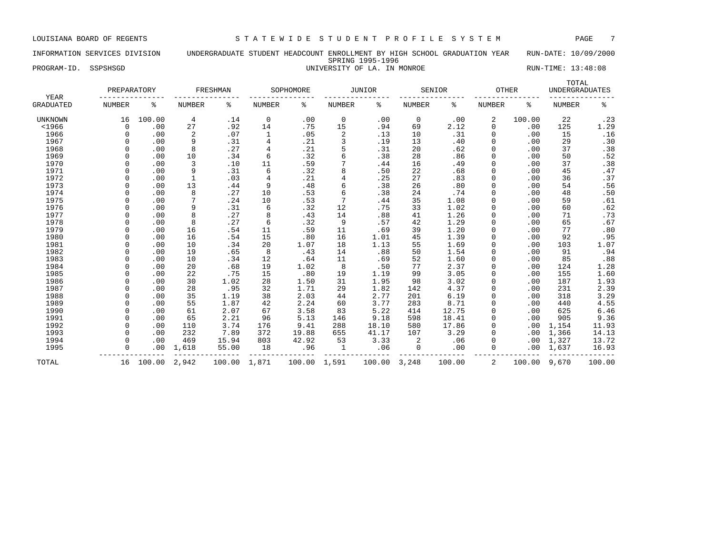### INFORMATION SERVICES DIVISION UNDERGRADUATE STUDENT HEADCOUNT ENROLLMENT BY HIGH SCHOOL GRADUATION YEAR RUN-DATE: 10/09/2000 SPRING 1995-1996 PROGRAM-ID. SSPSHSGD **EXECUTE:** 13:48:08 UNIVERSITY OF LA. IN MONROE RUN-TIME: 13:48:08

| YEAR           | PREPARATORY   |        |               | FRESHMAN |                | SOPHOMORE |               | <b>JUNIOR</b> |               | SENIOR | <b>OTHER</b>  |        | TOTAL<br><b>UNDERGRADUATES</b> |        |
|----------------|---------------|--------|---------------|----------|----------------|-----------|---------------|---------------|---------------|--------|---------------|--------|--------------------------------|--------|
| GRADUATED      | <b>NUMBER</b> | န့     | <b>NUMBER</b> | ႜ        | NUMBER         | ႜ         | <b>NUMBER</b> | ి             | <b>NUMBER</b> | ႜ      | <b>NUMBER</b> | ႜ      | <b>NUMBER</b>                  | ႜ      |
| <b>UNKNOWN</b> | 16            | 100.00 | 4             | .14      | $\mathbf 0$    | .00       | $\mathbf 0$   | .00           | $\mathbf 0$   | .00    | 2             | 100.00 | 22                             | .23    |
| $<$ 1966       | 0             | .00    | 27            | .92      | 14             | .75       | 15            | .94           | 69            | 2.12   | 0             | .00    | 125                            | 1.29   |
| 1966           | 0             | .00    | 2             | .07      | 1              | .05       | 2             | .13           | 10            | .31    | 0             | .00    | 15                             | .16    |
| 1967           | $\Omega$      | .00    | 9             | .31      | 4              | .21       | 3             | .19           | 13            | .40    | 0             | .00    | 29                             | .30    |
| 1968           | $\Omega$      | .00    | 8             | .27      | 4              | .21       | 5             | .31           | 20            | .62    | 0             | .00    | 37                             | .38    |
| 1969           | $\Omega$      | .00    | 10            | .34      | 6              | .32       | 6             | .38           | 28            | .86    | 0             | .00    | 50                             | .52    |
| 1970           |               | .00    | 3             | .10      | 11             | .59       | 7             | .44           | 16            | .49    | 0             | .00    | 37                             | .38    |
| 1971           | $\Omega$      | .00    | 9             | .31      | 6              | .32       | 8             | .50           | 22            | .68    | 0             | .00    | 45                             | .47    |
| 1972           | $\Omega$      | .00    |               | .03      | $\overline{4}$ | .21       | 4             | .25           | 27            | .83    | $\Omega$      | .00    | 36                             | .37    |
| 1973           | $\Omega$      | .00    | 13            | .44      | 9              | .48       | 6             | .38           | 26            | .80    | 0             | .00    | 54                             | .56    |
| 1974           | $\Omega$      | .00    | 8             | .27      | 10             | .53       | 6             | .38           | 24            | .74    | 0             | .00    | 48                             | .50    |
| 1975           | $\Omega$      | .00    | 7             | .24      | 10             | .53       | 7             | .44           | 35            | 1.08   | 0             | .00    | 59                             | .61    |
| 1976           | $\Omega$      | .00    | 9             | .31      | 6              | .32       | 12            | .75           | 33            | 1.02   | 0             | .00    | 60                             | .62    |
| 1977           | $\Omega$      | .00    | 8             | .27      | 8              | .43       | 14            | .88           | 41            | 1.26   | $\mathbf 0$   | .00    | 71                             | .73    |
| 1978           | $\Omega$      | .00    | 8             | .27      | 6              | .32       | 9             | .57           | 42            | 1.29   | 0             | .00    | 65                             | .67    |
| 1979           | $\Omega$      | .00    | 16            | .54      | 11             | .59       | 11            | .69           | 39            | 1.20   | 0             | .00    | 77                             | .80    |
| 1980           |               | .00    | 16            | .54      | 15             | .80       | 16            | 1.01          | 45            | 1.39   | 0             | .00    | 92                             | .95    |
| 1981           |               | .00    | 10            | .34      | 20             | 1.07      | 18            | 1.13          | 55            | 1.69   | 0             | .00    | 103                            | 1.07   |
| 1982           | $\cap$        | .00    | 19            | .65      | 8              | .43       | 14            | .88           | 50            | 1.54   | 0             | .00    | 91                             | .94    |
| 1983           | $\Omega$      | .00    | 10            | .34      | 12             | .64       | 11            | .69           | 52            | 1.60   | $\Omega$      | .00    | 85                             | .88    |
| 1984           | $\Omega$      | .00    | 20            | .68      | 19             | 1.02      | 8             | .50           | 77            | 2.37   | $\Omega$      | .00    | 124                            | 1.28   |
| 1985           | $\Omega$      | .00    | 22            | .75      | 15             | .80       | 19            | 1.19          | 99            | 3.05   | 0             | .00    | 155                            | 1.60   |
| 1986           | $\Omega$      | .00    | 30            | 1.02     | 28             | 1.50      | 31            | 1.95          | 98            | 3.02   | 0             | .00    | 187                            | 1.93   |
| 1987           | $\Omega$      | .00    | 28            | .95      | 32             | 1.71      | 29            | 1.82          | 142           | 4.37   | 0             | .00    | 231                            | 2.39   |
| 1988           | $\Omega$      | .00    | 35            | 1.19     | 38             | 2.03      | 44            | 2.77          | 201           | 6.19   | 0             | .00    | 318                            | 3.29   |
| 1989           | $\Omega$      | .00    | 55            | 1.87     | 42             | 2.24      | 60            | 3.77          | 283           | 8.71   | 0             | .00    | 440                            | 4.55   |
| 1990           |               | .00    | 61            | 2.07     | 67             | 3.58      | 83            | 5.22          | 414           | 12.75  | 0             | .00    | 625                            | 6.46   |
| 1991           | $\Omega$      | .00    | 65            | 2.21     | 96             | 5.13      | 146           | 9.18          | 598           | 18.41  | 0             | .00    | 905                            | 9.36   |
| 1992           | $\Omega$      | .00    | 110           | 3.74     | 176            | 9.41      | 288           | 18.10         | 580           | 17.86  | $\Omega$      | .00    | 1,154                          | 11.93  |
| 1993           | $\Omega$      | .00    | 232           | 7.89     | 372            | 19.88     | 655           | 41.17         | 107           | 3.29   | $\Omega$      | .00    | 1,366                          | 14.13  |
| 1994           | $\Omega$      | .00    | 469           | 15.94    | 803            | 42.92     | 53            | 3.33          | 2             | .06    | 0             | .00    | 1,327                          | 13.72  |
| 1995           | 0             | .00    | 1,618         | 55.00    | 18             | .96       | 1             | .06           | 0             | .00    | 0             | .00    | 1,637                          | 16.93  |
| TOTAL          | 16            | 100.00 | 2,942         | 100.00   | 1,871          | 100.00    | 1,591         | 100.00        | 3,248         | 100.00 | 2             | 100.00 | 9,670                          | 100.00 |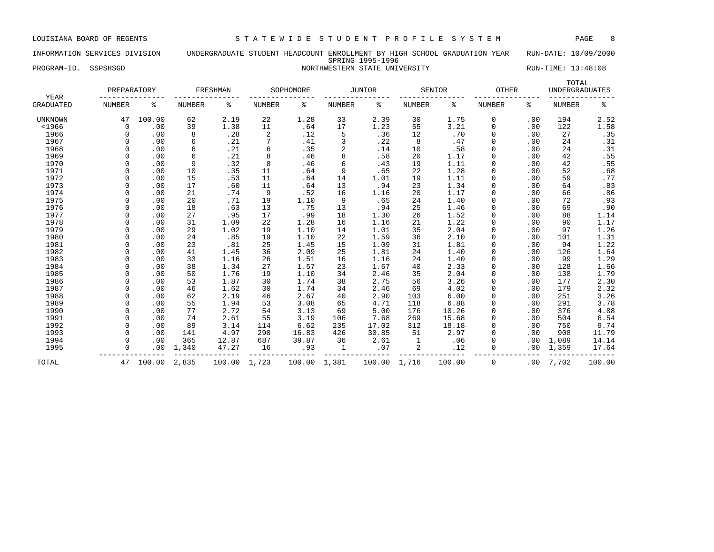# INFORMATION SERVICES DIVISION UNDERGRADUATE STUDENT HEADCOUNT ENROLLMENT BY HIGH SCHOOL GRADUATION YEAR RUN-DATE: 10/09/2000

# SPRING 1995-1996

# PROGRAM-ID. SSPSHSGD NORTHWESTERN STATE UNIVERSITY NORTHWESTERN STATE UNIVERSITY

| YEAR             | PREPARATORY   |        |               | FRESHMAN     |                | SOPHOMORE    |               | JUNIOR       |               | SENIOR | OTHER         |     | TOTAL<br><b>UNDERGRADUATES</b> |        |
|------------------|---------------|--------|---------------|--------------|----------------|--------------|---------------|--------------|---------------|--------|---------------|-----|--------------------------------|--------|
| <b>GRADUATED</b> | <b>NUMBER</b> | န့     | <b>NUMBER</b> | နွ           | <b>NUMBER</b>  | နွ           | <b>NUMBER</b> | နွ           | <b>NUMBER</b> | ႜ      | <b>NUMBER</b> | ႜ   | <b>NUMBER</b>                  | နွ     |
| <b>UNKNOWN</b>   | 47            | 100.00 | 62            | 2.19         | 22             | 1.28         | 33            | 2.39         | 30            | 1.75   | 0             | .00 | 194                            | 2.52   |
| $<$ 1966         | $\Omega$      | .00    | 39            | 1.38         | 11             | .64          | 17            | 1.23         | 55            | 3.21   | $\Omega$      | .00 | 122                            | 1.58   |
| 1966             | $\Omega$      | .00    | 8             | .28          | $\overline{2}$ | .12          | 5             | .36          | 12            | .70    | 0             | .00 | 27                             | .35    |
| 1967             |               | .00    | 6             | .21          | 7              | .41          | 3             | .22          | 8             | .47    | $\Omega$      | .00 | 24                             | .31    |
| 1968             |               | .00    | 6             | .21          | 6              | .35          | 2             | .14          | 10            | .58    |               | .00 | 24                             | .31    |
| 1969             |               | .00    | 6             | .21          | 8              | .46          | 8             | .58          | 20            | 1.17   | $\Omega$      | .00 | 42                             | .55    |
| 1970             |               | .00    | 9             | .32          | 8              | .46          | 6             | .43          | 19            | 1.11   | $\mathbf 0$   | .00 | 42                             | .55    |
| 1971             |               | .00    | 10            | .35          | 11             | .64          | 9             | .65          | 22            | 1.28   | $\Omega$      | .00 | 52                             | .68    |
| 1972             |               | .00    | 15            | .53          | 11             | .64          | 14            | 1.01         | 19            | 1.11   | $\Omega$      | .00 | 59                             | .77    |
| 1973             |               | .00    | 17            | .60          | 11             | .64          | 13            | .94          | 23            | 1.34   | $\Omega$      | .00 | 64                             | .83    |
| 1974             |               | .00    | 21            | .74          | 9              | .52          | 16            | 1.16         | 20            | 1.17   |               | .00 | 66                             | .86    |
| 1975             |               | .00    | 20            | .71          | 19             | 1.10         | 9             | .65          | 24            | 1.40   | $\Omega$      | .00 | 72                             | .93    |
| 1976             |               | .00    | 18            | .63          | 13             | .75          | 13            | .94          | 25            | 1.46   | $\Omega$      | .00 | 69                             | .90    |
| 1977             | $\Omega$      | .00    | 27            | .95          | 17             | .99          | 18            | 1.30         | 26            | 1.52   | $\Omega$      | .00 | 88                             | 1.14   |
| 1978             | $\Omega$      | .00    | 31            | 1.09         | 22             | 1.28         | 16            | 1.16         | 21            | 1.22   | $\Omega$      | .00 | 90                             | 1.17   |
| 1979             |               | .00    | 29            | 1.02         | 19             | 1.10         | 14            | 1.01         | 35            | 2.04   | $\Omega$      | .00 | 97                             | 1.26   |
| 1980             |               | .00    | 24            | .85          | 19             | 1.10         | 22            | 1.59         | 36            | 2.10   | $\Omega$      | .00 | 101                            | 1.31   |
| 1981             |               | .00    | 23            | .81          | 25             | 1.45         | 15            | 1.09         | 31            | 1.81   | $\Omega$      | .00 | 94                             | 1.22   |
| 1982             |               | .00    | 41            | 1.45         | 36             | 2.09         | 25            | 1.81         | 24            | 1.40   | $\Omega$      | .00 | 126                            | 1.64   |
| 1983             |               | .00    | 33            | 1.16         | 26             | 1.51         | 16            | 1.16         | 24            | 1.40   | $\Omega$      | .00 | 99                             | 1.29   |
| 1984             |               | .00    | 38            | 1.34         | 27             | 1.57         | 23            | 1.67         | 40            | 2.33   | $\Omega$      | .00 | 128                            | 1.66   |
| 1985             |               | .00    | 50            | 1.76         | 19             | 1.10         | 34            | 2.46         | 35            | 2.04   |               | .00 | 138                            | 1.79   |
| 1986             |               | .00    | 53            | 1.87         | 30             | 1.74         | 38            | 2.75         | 56            | 3.26   |               | .00 | 177                            | 2.30   |
| 1987             | $\cap$        | .00    | 46            | 1.62         | 30             | 1.74         | 34            | 2.46         | 69            | 4.02   | $\Omega$      | .00 | 179                            | 2.32   |
| 1988             |               | .00    | 62            | 2.19         | 46             | 2.67         | 40            | 2.90         | 103           | 6.00   | $\Omega$      | .00 | 251                            | 3.26   |
| 1989             | $\Omega$      | .00    | 55            | 1.94         | 53             | 3.08         | 65            | 4.71         | 118           | 6.88   | $\Omega$      | .00 | 291                            | 3.78   |
| 1990             | $\Omega$      | .00    | 77            | 2.72         | 54             | 3.13         | 69            | 5.00         | 176           | 10.26  | $\Omega$      | .00 | 376                            | 4.88   |
| 1991             |               | .00    | 74            | 2.61         | 55             | 3.19         | 106           | 7.68         | 269           | 15.68  |               | .00 | 504                            | 6.54   |
| 1992             |               | .00    | 89            | 3.14         | 114            | 6.62         | 235           | 17.02        | 312           | 18.18  | $\Omega$      | .00 | 750                            | 9.74   |
| 1993             |               | .00    | 141           | 4.97         | 290            | 16.83        | 426           | 30.85        | 51            | 2.97   | $\mathbf 0$   | .00 | 908                            | 11.79  |
| 1994             |               | .00    | 365           | 12.87        | 687            | 39.87        | 36            | 2.61         | $\mathbf{1}$  | .06    | $\Omega$      | .00 | 1,089                          | 14.14  |
| 1995             | $\Omega$      | .00    | 1,340         | 47.27        | 16             | .93          | 1             | .07          | 2             | .12    | $\Omega$      | .00 | 1,359                          | 17.64  |
| TOTAL            | 47            | 100.00 | 2,835         | 100.00 1,723 |                | 100.00 1,381 |               | 100.00 1,716 |               | 100.00 | 0             | .00 | 7,702                          | 100.00 |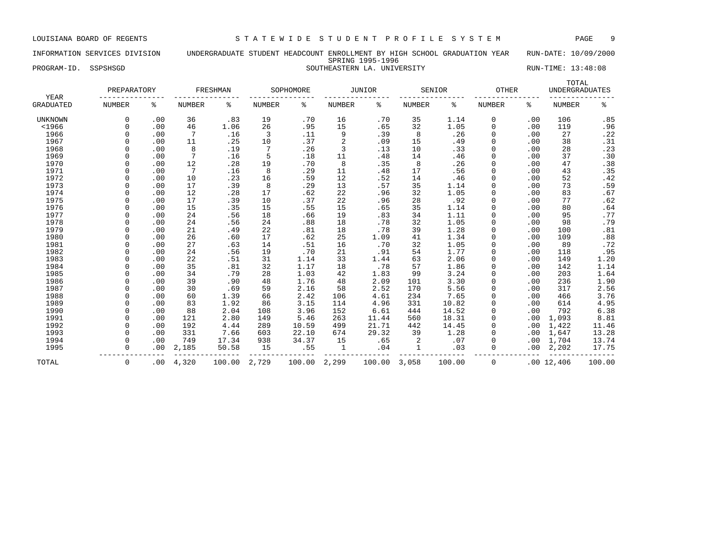### INFORMATION SERVICES DIVISION UNDERGRADUATE STUDENT HEADCOUNT ENROLLMENT BY HIGH SCHOOL GRADUATION YEAR RUN-DATE: 10/09/2000 SPRING 1995-1996 PROGRAM-ID. SSPSHSGD SOUTHEASTERN LA. UNIVERSITY RUN-TIME: 13:48:08

| YEAR             | PREPARATORY   |     |                 | <b>FRESHMAN</b> |               | SOPHOMORE |               | <b>JUNIOR</b> |               | SENIOR | <b>OTHER</b>  |     | TOTAL<br><b>UNDERGRADUATES</b> |        |
|------------------|---------------|-----|-----------------|-----------------|---------------|-----------|---------------|---------------|---------------|--------|---------------|-----|--------------------------------|--------|
| <b>GRADUATED</b> | <b>NUMBER</b> | နွ  | <b>NUMBER</b>   | ៖               | <b>NUMBER</b> | နွ        | <b>NUMBER</b> | ႜ             | <b>NUMBER</b> | နွ     | <b>NUMBER</b> | နွ  | <b>NUMBER</b>                  | ್ಠಿ    |
| UNKNOWN          | 0             | .00 | 36              | .83             | 19            | .70       | 16            | .70           | 35            | 1.14   | 0             | .00 | 106                            | .85    |
| $<$ 1966         | $\Omega$      | .00 | 46              | 1.06            | 26            | .95       | 15            | .65           | 32            | 1.05   | $\Omega$      | .00 | 119                            | .96    |
| 1966             | $\Omega$      | .00 | 7               | .16             | 3             | .11       | 9             | .39           | 8             | .26    | $\Omega$      | .00 | 27                             | .22    |
| 1967             | $\Omega$      | .00 | 11              | .25             | 10            | .37       | 2             | .09           | 15            | .49    | 0             | .00 | 38                             | .31    |
| 1968             |               | .00 | 8               | .19             | 7             | .26       | 3             | .13           | 10            | .33    | 0             | .00 | 28                             | .23    |
| 1969             |               | .00 | 7               | .16             | 5             | .18       | 11            | .48           | 14            | .46    | 0             | .00 | 37                             | .30    |
| 1970             |               | .00 | 12              | .28             | 19            | .70       | 8             | .35           | 8             | .26    | 0             | .00 | 47                             | .38    |
| 1971             |               | .00 | $7\phantom{.0}$ | .16             | 8             | .29       | 11            | .48           | 17            | .56    | 0             | .00 | 43                             | .35    |
| 1972             |               | .00 | 10              | .23             | 16            | .59       | 12            | .52           | 14            | .46    | $\Omega$      | .00 | 52                             | .42    |
| 1973             |               | .00 | 17              | .39             | 8             | .29       | 13            | .57           | 35            | 1.14   | $\Omega$      | .00 | 73                             | .59    |
| 1974             |               | .00 | 12              | .28             | 17            | .62       | 22            | .96           | 32            | 1.05   | 0             | .00 | 83                             | .67    |
| 1975             |               | .00 | 17              | .39             | 10            | .37       | 22            | .96           | 28            | .92    | 0             | .00 | 77                             | .62    |
| 1976             |               | .00 | 15              | .35             | 15            | .55       | 15            | .65           | 35            | 1.14   | $\Omega$      | .00 | 80                             | .64    |
| 1977             |               | .00 | 24              | .56             | 18            | .66       | 19            | .83           | 34            | 1.11   | $\Omega$      | .00 | 95                             | .77    |
| 1978             | $\Omega$      | .00 | 24              | .56             | 24            | .88       | 18            | .78           | 32            | 1.05   | $\Omega$      | .00 | 98                             | .79    |
| 1979             | $\Omega$      | .00 | 21              | .49             | 22            | .81       | 18            | .78           | 39            | 1.28   | $\Omega$      | .00 | 100                            | .81    |
| 1980             | $\Omega$      | .00 | 26              | .60             | 17            | .62       | 25            | 1.09          | 41            | 1.34   | 0             | .00 | 109                            | .88    |
| 1981             | 0             | .00 | 27              | .63             | 14            | .51       | 16            | .70           | 32            | 1.05   | 0             | .00 | 89                             | .72    |
| 1982             | $\Omega$      | .00 | 24              | .56             | 19            | .70       | 21            | .91           | 54            | 1.77   | 0             | .00 | 118                            | .95    |
| 1983             |               | .00 | 22              | .51             | 31            | 1.14      | 33            | 1.44          | 63            | 2.06   | 0             | .00 | 149                            | 1.20   |
| 1984             |               | .00 | 35              | .81             | 32            | 1.17      | 18            | .78           | 57            | 1.86   | 0             | .00 | 142                            | 1.14   |
| 1985             |               | .00 | 34              | .79             | 28            | 1.03      | 42            | 1.83          | 99            | 3.24   | 0             | .00 | 203                            | 1.64   |
| 1986             | $\Omega$      | .00 | 39              | .90             | 48            | 1.76      | 48            | 2.09          | 101           | 3.30   | 0             | .00 | 236                            | 1.90   |
| 1987             |               | .00 | 30              | .69             | 59            | 2.16      | 58            | 2.52          | 170           | 5.56   | 0             | .00 | 317                            | 2.56   |
| 1988             | $\Omega$      | .00 | 60              | 1.39            | 66            | 2.42      | 106           | 4.61          | 234           | 7.65   | 0             | .00 | 466                            | 3.76   |
| 1989             | $\Omega$      | .00 | 83              | 1.92            | 86            | 3.15      | 114           | 4.96          | 331           | 10.82  | $\Omega$      | .00 | 614                            | 4.95   |
| 1990             | $\Omega$      | .00 | 88              | 2.04            | 108           | 3.96      | 152           | 6.61          | 444           | 14.52  | $\Omega$      | .00 | 792                            | 6.38   |
| 1991             | $\Omega$      | .00 | 121             | 2.80            | 149           | 5.46      | 263           | 11.44         | 560           | 18.31  | $\Omega$      | .00 | 1,093                          | 8.81   |
| 1992             | $\Omega$      | .00 | 192             | 4.44            | 289           | 10.59     | 499           | 21.71         | 442           | 14.45  | 0             | .00 | 1,422                          | 11.46  |
| 1993             | $\Omega$      | .00 | 331             | 7.66            | 603           | 22.10     | 674           | 29.32         | 39            | 1.28   | 0             | .00 | 1,647                          | 13.28  |
| 1994             | 0             | .00 | 749             | 17.34           | 938           | 34.37     | 15            | .65           | 2             | .07    | 0             | .00 | 1,704                          | 13.74  |
| 1995             | $\Omega$      | .00 | 2,185           | 50.58           | 15            | .55       | 1             | .04           | $\mathbf{1}$  | .03    | $\Omega$      | .00 | 2,202                          | 17.75  |
| TOTAL            | $\mathbf 0$   | .00 | 4,320           | 100.00          | 2,729         | 100.00    | 2,299         | 100.00        | 3,058         | 100.00 | 0             |     | .0012,406                      | 100.00 |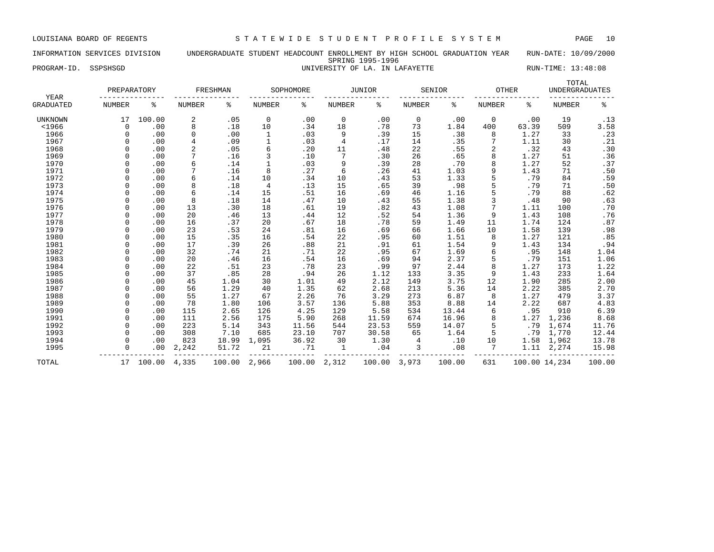### INFORMATION SERVICES DIVISION UNDERGRADUATE STUDENT HEADCOUNT ENROLLMENT BY HIGH SCHOOL GRADUATION YEAR RUN-DATE: 10/09/2000 SPRING 1995-1996 PROGRAM-ID. SSPSHSGD **EXAM-ID.** SSPSHSGD **EXAM-ID.** SSPSHSGD **EXAM-ID.** SSPSHSGD **EXAM-ID.** SSPSHSGD

|                          | PREPARATORY   |        |                | FRESHMAN |              | SOPHOMORE |                 | <b>JUNIOR</b> |        | SENIOR | <b>OTHER</b>  |               | TOTAL<br><b>UNDERGRADUATES</b> |        |
|--------------------------|---------------|--------|----------------|----------|--------------|-----------|-----------------|---------------|--------|--------|---------------|---------------|--------------------------------|--------|
| YEAR<br><b>GRADUATED</b> | <b>NUMBER</b> | နွ     | <b>NUMBER</b>  | ႜ        | NUMBER       | ႜ         | NUMBER          | ႜ             | NUMBER | ႜ      | <b>NUMBER</b> | ႜ             | <b>NUMBER</b>                  | ి      |
|                          |               |        |                |          |              |           |                 |               |        |        |               |               |                                |        |
| <b>UNKNOWN</b>           | 17            | 100.00 | 2              | .05      | 0            | .00       | $\mathbf 0$     | .00           | 0      | .00    | $\mathbf 0$   | .00           | 19                             | .13    |
| $<$ 1966                 | $\Omega$      | .00    | 8              | .18      | 10           | .34       | 18              | .78           | 73     | 1.84   | 400           | 63.39         | 509                            | 3.58   |
| 1966                     | $\Omega$      | .00    | 0              | .00      | 1            | .03       | 9               | .39           | 15     | .38    | 8             | 1.27          | 33                             | .23    |
| 1967                     | $\Omega$      | .00    | 4              | .09      | $\mathbf{1}$ | .03       | 4               | .17           | 14     | .35    |               | 1.11          | 30                             | .21    |
| 1968                     | $\Omega$      | .00    | $\overline{a}$ | .05      | 6            | .20       | 11              | .48           | 22     | .55    | 2             | .32           | 43                             | .30    |
| 1969                     | $\Omega$      | .00    | 7              | .16      | 3            | .10       | $7\phantom{.0}$ | .30           | 26     | .65    | 8             | 1.27          | 51                             | .36    |
| 1970                     | $\Omega$      | .00    | 6              | .14      | $\mathbf{1}$ | .03       | 9               | .39           | 28     | .70    | 8             | 1.27          | 52                             | .37    |
| 1971                     |               | .00    | 7              | .16      | 8            | .27       | 6               | .26           | 41     | 1.03   | 9             | 1.43          | 71                             | .50    |
| 1972                     |               | .00    | 6              | .14      | 10           | .34       | 10              | .43           | 53     | 1.33   | 5             | .79           | 84                             | .59    |
| 1973                     | $\Omega$      | .00    | 8              | .18      | 4            | .13       | 15              | .65           | 39     | .98    | 5             | .79           | 71                             | .50    |
| 1974                     | $\Omega$      | .00    | 6              | .14      | 15           | .51       | 16              | .69           | 46     | 1.16   | 5             | .79           | 88                             | .62    |
| 1975                     | $\Omega$      | .00    | 8              | .18      | 14           | .47       | 10              | .43           | 55     | 1.38   | 3             | .48           | 90                             | .63    |
| 1976                     | $\Omega$      | .00    | 13             | .30      | 18           | .61       | 19              | .82           | 43     | 1.08   |               | 1.11          | 100                            | .70    |
| 1977                     | $\Omega$      | .00    | 20             | .46      | 13           | .44       | 12              | .52           | 54     | 1.36   | 9             | 1.43          | 108                            | .76    |
| 1978                     | $\Omega$      | .00    | 16             | .37      | 20           | .67       | 18              | .78           | 59     | 1.49   | 11            | 1.74          | 124                            | .87    |
| 1979                     | $\Omega$      | .00    | 23             | .53      | 24           | .81       | 16              | .69           | 66     | 1.66   | 10            | 1.58          | 139                            | .98    |
| 1980                     | $\Omega$      | .00    | 15             | .35      | 16           | .54       | 22              | .95           | 60     | 1.51   | 8             | 1.27          | 121                            | .85    |
| 1981                     | $\Omega$      | .00    | 17             | .39      | 26           | .88       | 21              | .91           | 61     | 1.54   | 9             | 1.43          | 134                            | .94    |
| 1982                     | $\Omega$      | .00    | 32             | .74      | 21           | .71       | 22              | .95           | 67     | 1.69   | б             | .95           | 148                            | 1.04   |
| 1983                     | $\Omega$      | .00    | 20             | .46      | 16           | .54       | 16              | .69           | 94     | 2.37   | 5             | .79           | 151                            | 1.06   |
| 1984                     | $\Omega$      | .00    | 22             | .51      | 23           | .78       | 23              | .99           | 97     | 2.44   | 8             | 1.27          | 173                            | 1.22   |
| 1985                     | $\Omega$      | .00    | 37             | .85      | 28           | .94       | 26              | 1.12          | 133    | 3.35   | 9             | 1.43          | 233                            | 1.64   |
| 1986                     | $\Omega$      | .00    | 45             | 1.04     | 30           | 1.01      | 49              | 2.12          | 149    | 3.75   | 12            | 1.90          | 285                            | 2.00   |
| 1987                     | $\Omega$      | .00    | 56             | 1.29     | 40           | 1.35      | 62              | 2.68          | 213    | 5.36   | 14            | 2.22          | 385                            | 2.70   |
| 1988                     | $\Omega$      | .00    | 55             | 1.27     | 67           | 2.26      | 76              | 3.29          | 273    | 6.87   | 8             | 1.27          | 479                            | 3.37   |
| 1989                     | $\Omega$      | .00    | 78             | 1.80     | 106          | 3.57      | 136             | 5.88          | 353    | 8.88   | 14            | 2.22          | 687                            | 4.83   |
| 1990                     | $\Omega$      | .00    | 115            | 2.65     | 126          | 4.25      | 129             | 5.58          | 534    | 13.44  | 6             | .95           | 910                            | 6.39   |
| 1991                     | $\cap$        | .00    | 111            | 2.56     | 175          | 5.90      | 268             | 11.59         | 674    | 16.96  | 8             | 1.27          | 1,236                          | 8.68   |
| 1992                     |               | .00    | 223            | 5.14     | 343          | 11.56     | 544             | 23.53         | 559    | 14.07  | 5             | .79           | 1,674                          | 11.76  |
| 1993                     | $\Omega$      | .00    | 308            | 7.10     | 685          | 23.10     | 707             | 30.58         | 65     | 1.64   | 5             | .79           | 1,770                          | 12.44  |
| 1994                     | $\Omega$      | .00    | 823            | 18.99    | 1,095        | 36.92     | 30              | 1.30          | 4      | .10    | 10            | 1.58          | 1,962                          | 13.78  |
| 1995                     | $\Omega$      | .00    | 2,242          | 51.72    | 21           | .71       | 1               | .04           | 3      | .08    |               | 1.11          | 2,274                          | 15.98  |
| TOTAL                    | 17            | 100.00 | 4,335          | 100.00   | 2,966        | 100.00    | 2,312           | 100.00        | 3,973  | 100.00 | 631           | 100.00 14,234 |                                | 100.00 |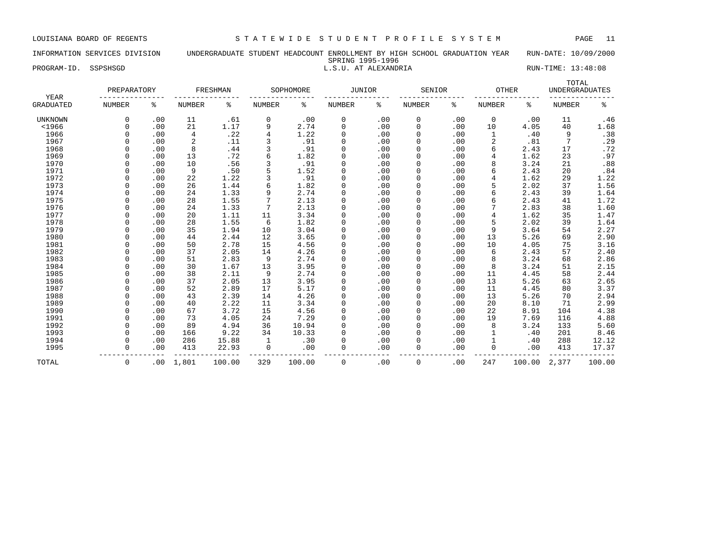### INFORMATION SERVICES DIVISION UNDERGRADUATE STUDENT HEADCOUNT ENROLLMENT BY HIGH SCHOOL GRADUATION YEAR RUN-DATE: 10/09/2000 SPRING 1995-1996

### PROGRAM-ID. SSPSHSGD **EXECUTE:** 13:48:08 L.S.U. AT ALEXANDRIA RUN-TIME: 13:48:08

| YEAR             | PREPARATORY   |     |               | FRESHMAN |               | SOPHOMORE | <b>JUNIOR</b> |     | SENIOR        |     | <b>OTHER</b>  |        | TOTAL<br><b>UNDERGRADUATES</b> |        |
|------------------|---------------|-----|---------------|----------|---------------|-----------|---------------|-----|---------------|-----|---------------|--------|--------------------------------|--------|
| <b>GRADUATED</b> | <b>NUMBER</b> | ႜ   | <b>NUMBER</b> | ႜ        | <b>NUMBER</b> | ႜ         | <b>NUMBER</b> | ៖   | <b>NUMBER</b> | ႜ   | <b>NUMBER</b> | ႜ      | <b>NUMBER</b>                  | ್ಠಿ    |
| <b>UNKNOWN</b>   | 0             | .00 | 11            | .61      | 0             | .00       | 0             | .00 | 0             | .00 | 0             | .00    | 11                             | .46    |
| $<$ 1966         | $\Omega$      | .00 | 21            | 1.17     | 9             | 2.74      | 0             | .00 | $\Omega$      | .00 | 10            | 4.05   | 40                             | 1.68   |
| 1966             | $\Omega$      | .00 | 4             | .22      | 4             | 1.22      | 0             | .00 | $\Omega$      | .00 | 1             | .40    | 9                              | .38    |
| 1967             | $\Omega$      | .00 | 2             | .11      | 3             | .91       | 0             | .00 |               | .00 | 2             | .81    | 7                              | .29    |
| 1968             |               | .00 | 8             | .44      | 3             | .91       | 0             | .00 |               | .00 | 6             | 2.43   | 17                             | .72    |
| 1969             |               | .00 | 13            | .72      | 6             | 1.82      | 0             | .00 |               | .00 | 4             | 1.62   | 23                             | .97    |
| 1970             | $\Omega$      | .00 | 10            | .56      |               | .91       | $\mathbf 0$   | .00 | $\Omega$      | .00 | 8             | 3.24   | 21                             | .88    |
| 1971             |               | .00 | 9             | .50      | 5             | 1.52      | 0             | .00 | $\Omega$      | .00 | 6             | 2.43   | 20                             | .84    |
| 1972             |               | .00 | 22            | 1.22     |               | .91       | 0             | .00 | $\Omega$      | .00 | 4             | 1.62   | 29                             | 1.22   |
| 1973             |               | .00 | 26            | 1.44     | б             | 1.82      | 0             | .00 | $\Omega$      | .00 | 5             | 2.02   | 37                             | 1.56   |
| 1974             |               | .00 | 24            | 1.33     | 9             | 2.74      | 0             | .00 |               | .00 | 6             | 2.43   | 39                             | 1.64   |
| 1975             |               | .00 | 28            | 1.55     |               | 2.13      | 0             | .00 |               | .00 | 6             | 2.43   | 41                             | 1.72   |
| 1976             | $\cap$        | .00 | 24            | 1.33     | 7             | 2.13      | 0             | .00 |               | .00 |               | 2.83   | 38                             | 1.60   |
| 1977             | $\cap$        | .00 | 20            | 1.11     | 11            | 3.34      | 0             | .00 | $\Omega$      | .00 | 4             | 1.62   | 35                             | 1.47   |
| 1978             | $\cap$        | .00 | 28            | 1.55     | 6             | 1.82      | 0             | .00 |               | .00 | 5             | 2.02   | 39                             | 1.64   |
| 1979             | $\Omega$      | .00 | 35            | 1.94     | 10            | 3.04      | 0             | .00 | $\Omega$      | .00 | 9             | 3.64   | 54                             | 2.27   |
| 1980             | $\Omega$      | .00 | 44            | 2.44     | 12            | 3.65      | 0             | .00 |               | .00 | 13            | 5.26   | 69                             | 2.90   |
| 1981             | $\Omega$      | .00 | 50            | 2.78     | 15            | 4.56      | 0             | .00 |               | .00 | 10            | 4.05   | 75                             | 3.16   |
| 1982             |               | .00 | 37            | 2.05     | 14            | 4.26      | 0             | .00 |               | .00 | 6             | 2.43   | 57                             | 2.40   |
| 1983             | $\Omega$      | .00 | 51            | 2.83     | 9             | 2.74      | 0             | .00 | $\Omega$      | .00 | 8             | 3.24   | 68                             | 2.86   |
| 1984             | $\Omega$      | .00 | 30            | 1.67     | 13            | 3.95      | 0             | .00 | $\Omega$      | .00 | 8             | 3.24   | 51                             | 2.15   |
| 1985             |               | .00 | 38            | 2.11     | 9             | 2.74      | 0             | .00 | $\Omega$      | .00 | 11            | 4.45   | 58                             | 2.44   |
| 1986             |               | .00 | 37            | 2.05     | 13            | 3.95      | 0             | .00 | $\Omega$      | .00 | 13            | 5.26   | 63                             | 2.65   |
| 1987             | $\Omega$      | .00 | 52            | 2.89     | 17            | 5.17      | 0             | .00 |               | .00 | 11            | 4.45   | 80                             | 3.37   |
| 1988             | $\Omega$      | .00 | 43            | 2.39     | 14            | 4.26      | 0             | .00 |               | .00 | 13            | 5.26   | 70                             | 2.94   |
| 1989             | $\Omega$      | .00 | 40            | 2.22     | 11            | 3.34      | 0             | .00 |               | .00 | 20            | 8.10   | 71                             | 2.99   |
| 1990             | $\Omega$      | .00 | 67            | 3.72     | 15            | 4.56      | 0             | .00 | $\Omega$      | .00 | 22            | 8.91   | 104                            | 4.38   |
| 1991             | $\cap$        | .00 | 73            | 4.05     | 24            | 7.29      | $\Omega$      | .00 | $\Omega$      | .00 | 19            | 7.69   | 116                            | 4.88   |
| 1992             | $\Omega$      | .00 | 89            | 4.94     | 36            | 10.94     | 0             | .00 | $\Omega$      | .00 | 8             | 3.24   | 133                            | 5.60   |
| 1993             | $\Omega$      | .00 | 166           | 9.22     | 34            | 10.33     | 0             | .00 | $\Omega$      | .00 |               | .40    | 201                            | 8.46   |
| 1994             | $\Omega$      | .00 | 286           | 15.88    | 1             | .30       | 0             | .00 |               | .00 |               | .40    | 288                            | 12.12  |
| 1995             | $\Omega$      | .00 | 413           | 22.93    | $\mathbf 0$   | .00       | 0             | .00 | $\Omega$      | .00 | $\Omega$      | .00    | 413                            | 17.37  |
| TOTAL            | 0             | .00 | 1,801         | 100.00   | 329           | 100.00    | $\Omega$      | .00 | $\mathbf 0$   | .00 | 247           | 100.00 | 2,377                          | 100.00 |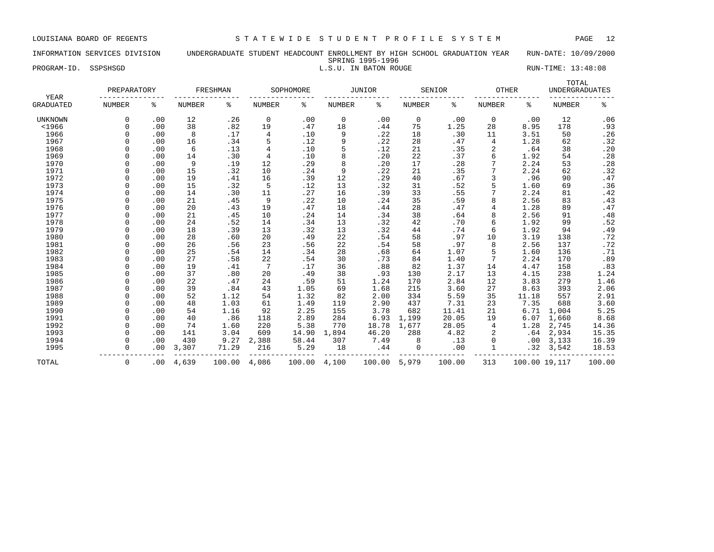### INFORMATION SERVICES DIVISION UNDERGRADUATE STUDENT HEADCOUNT ENROLLMENT BY HIGH SCHOOL GRADUATION YEAR RUN-DATE: 10/09/2000 SPRING 1995-1996

PROGRAM-ID. SSPSHSGD **EXECUTE:** 13:48:08 L.S.U. IN BATON ROUGE RUN-TIME: 13:48:08

| YEAR             | PREPARATORY   |     |               | FRESHMAN |                | SOPHOMORE |        | JUNIOR |               | SENIOR | <b>OTHER</b> |               | TOTAL<br><b>UNDERGRADUATES</b> |                |
|------------------|---------------|-----|---------------|----------|----------------|-----------|--------|--------|---------------|--------|--------------|---------------|--------------------------------|----------------|
| <b>GRADUATED</b> | <b>NUMBER</b> | န့  | <b>NUMBER</b> | ႜ        | NUMBER         | ႜ         | NUMBER | န့     | <b>NUMBER</b> | ႜ      | NUMBER       | ႜ             | <b>NUMBER</b>                  | ి              |
| <b>UNKNOWN</b>   | $\Omega$      | .00 | 12            | .26      | 0              | .00       | 0      | .00    | 0             | .00    | $\mathbf 0$  | .00           | 12                             | .06            |
| $<$ 1966         | $\cap$        | .00 | 38            | .82      | 19             | .47       | 18     | .44    | 75            | 1.25   | 28           | 8.95          | 178                            | .93            |
| 1966             |               | .00 | 8             | .17      | 4              | .10       | 9      | .22    | 18            | .30    | 11           | 3.51          | 50                             | .26            |
| 1967             |               | .00 | 16            | .34      | 5              | .12       | 9      | .22    | 28            | .47    | 4            | 1.28          | 62                             | .32            |
| 1968             |               | .00 | 6             | .13      | $\overline{4}$ | .10       | 5      | .12    | 21            | .35    | 2            | .64           | 38                             | .20            |
| 1969             |               | .00 | 14            | .30      | $\overline{4}$ | .10       | 8      | .20    | 22            | .37    | 6            | 1.92          | 54                             | .28            |
| 1970             |               | .00 | 9             | .19      | 12             | .29       | 8      | .20    | 17            | .28    |              | 2.24          | 53                             | .28            |
| 1971             |               | .00 | 15            | .32      | 10             | .24       | 9      | .22    | 21            | .35    |              | 2.24          | 62                             | .32            |
| 1972             |               | .00 | 19            | .41      | 16             | .39       | 12     | .29    | 40            | .67    | 3            | .96           | 90                             | .47            |
| 1973             |               | .00 | 15            | .32      | 5              | .12       | 13     | .32    | 31            | .52    |              | 1.60          | 69                             | .36            |
| 1974             | $\cap$        | .00 | 14            | .30      | 11             | .27       | 16     | .39    | 33            | .55    |              | 2.24          | 81                             | .42            |
| 1975             |               | .00 | 21            | .45      | 9              | .22       | 10     | .24    | 35            | .59    | 8            | 2.56          | 83                             | .43            |
| 1976             |               | .00 | 20            | .43      | 19             | .47       | 18     | .44    | 28            | .47    | 4            | 1.28          | 89                             | .47            |
| 1977             |               | .00 | 21            | .45      | 10             | .24       | 14     | .34    | 38            | .64    | 8            | 2.56          | 91                             | .48            |
| 1978             |               | .00 | 24            | .52      | 14             | .34       | 13     | .32    | 42            | .70    | 6            | 1.92          | 99                             |                |
| 1979             |               | .00 | 18            | .39      | 13             | .32       | 13     | .32    | 44            | .74    | 6            | 1.92          | 94                             | $.52$<br>$.49$ |
| 1980             |               | .00 | 28            | .60      | 20             | .49       | 22     | .54    | 58            | .97    | 10           | 3.19          | 138                            | .72            |
| 1981             |               | .00 | 26            | .56      | 23             | .56       | 22     | .54    | 58            | .97    | 8            | 2.56          | 137                            | .72            |
| 1982             |               | .00 | 25            | .54      | 14             | .34       | 28     | .68    | 64            | 1.07   | 5            | 1.60          | 136                            | .71            |
| 1983             | $\cap$        | .00 | 27            | .58      | 22             | .54       | 30     | .73    | 84            | 1.40   |              | 2.24          | 170                            | .89            |
| 1984             | $\cap$        | .00 | 19            | .41      | $\overline{7}$ | .17       | 36     | .88    | 82            | 1.37   | 14           | 4.47          | 158                            | .83            |
| 1985             | $\cap$        | .00 | 37            | .80      | 20             | .49       | 38     | .93    | 130           | 2.17   | 13           | 4.15          | 238                            | 1.24           |
| 1986             |               | .00 | 22            | .47      | 24             | .59       | 51     | 1.24   | 170           | 2.84   | 12           | 3.83          | 279                            | 1.46           |
| 1987             |               | .00 | 39            | .84      | 43             | 1.05      | 69     | 1.68   | 215           | 3.60   | 27           | 8.63          | 393                            | 2.06           |
| 1988             |               | .00 | 52            | 1.12     | 54             | 1.32      | 82     | 2.00   | 334           | 5.59   | 35           | 11.18         | 557                            | 2.91           |
| 1989             |               | .00 | 48            | 1.03     | 61             | 1.49      | 119    | 2.90   | 437           | 7.31   | 23           | 7.35          | 688                            | 3.60           |
| 1990             |               | .00 | 54            | 1.16     | 92             | 2.25      | 155    | 3.78   | 682           | 11.41  | 21           | 6.71          | 1,004                          | 5.25           |
| 1991             |               | .00 | 40            | .86      | 118            | 2.89      | 284    | 6.93   | 1,199         | 20.05  | 19           | 6.07          | 1,660                          | 8.68           |
| 1992             |               | .00 | 74            | 1.60     | 220            | 5.38      | 770    | 18.78  | 1,677         | 28.05  | 4            | 1.28          | 2,745                          | 14.36          |
| 1993             |               | .00 | 141           | 3.04     | 609            | 14.90     | 1,894  | 46.20  | 288           | 4.82   | 2            | .64           | 2,934                          | 15.35          |
| 1994             |               | .00 | 430           | 9.27     | 2,388          | 58.44     | 307    | 7.49   | 8             | .13    | $\Omega$     | .00           | 3,133                          | 16.39          |
| 1995             | $\Omega$      | .00 | 3,307         | 71.29    | 216            | 5.29      | 18     | .44    | 0             | .00    |              | .32           | 3,542                          | 18.53          |
| TOTAL            | 0             | .00 | 4,639         | 100.00   | 4,086          | 100.00    | 4,100  | 100.00 | 5,979         | 100.00 | 313          | 100.00 19,117 |                                | 100.00         |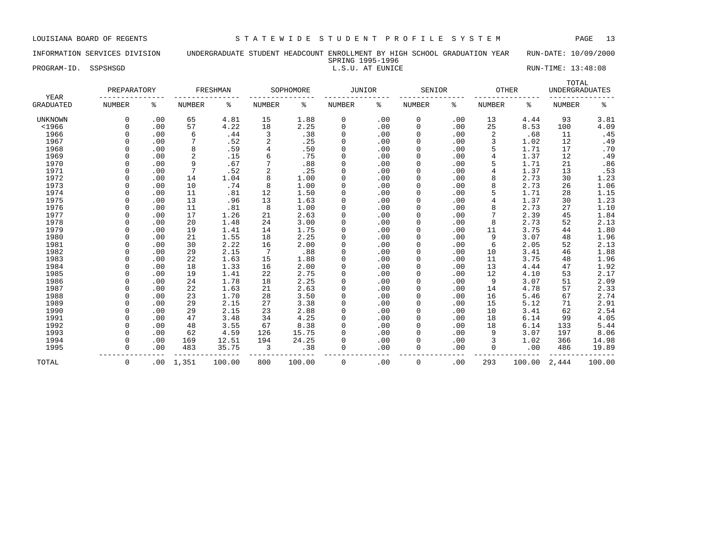# INFORMATION SERVICES DIVISION UNDERGRADUATE STUDENT HEADCOUNT ENROLLMENT BY HIGH SCHOOL GRADUATION YEAR RUN-DATE: 10/09/2000 SPRING 1995-1996<br>L.S.U. AT EUNICE

PROGRAM-ID. SSPSHSGD **EXECUTE:** 13:48:08 L.S.U. AT EUNICE RUN-TIME: 13:48:08

| YEAR             | PREPARATORY   |     |        | FRESHMAN |                 | SOPHOMORE | JUNIOR        |     | SENIOR        |     | <b>OTHER</b>  |        | TOTAL<br><b>UNDERGRADUATES</b> |        |
|------------------|---------------|-----|--------|----------|-----------------|-----------|---------------|-----|---------------|-----|---------------|--------|--------------------------------|--------|
| <b>GRADUATED</b> | <b>NUMBER</b> | ి   | NUMBER | ႜ        | <b>NUMBER</b>   | ႜ         | <b>NUMBER</b> | နွ  | <b>NUMBER</b> | ៖   | <b>NUMBER</b> | ႜ      | <b>NUMBER</b>                  | နွ     |
| <b>UNKNOWN</b>   | $\Omega$      | .00 | 65     | 4.81     | 15              | 1.88      | 0             | .00 | 0             | .00 | 13            | 4.44   | 93                             | 3.81   |
| $<$ 1966         | $\Omega$      | .00 | 57     | 4.22     | 18              | 2.25      | $\mathbf 0$   | .00 | $\mathbf{0}$  | .00 | 25            | 8.53   | 100                            | 4.09   |
| 1966             | $\Omega$      | .00 | 6      | .44      | 3               | .38       | 0             | .00 | 0             | .00 | 2             | .68    | 11                             | .45    |
| 1967             |               | .00 |        | .52      | $\overline{2}$  | .25       | 0             | .00 | $\mathbf{0}$  | .00 | 3             | 1.02   | 12                             | .49    |
| 1968             |               | .00 | 8      | .59      | $\overline{4}$  | .50       | 0             | .00 | $\mathbf{0}$  | .00 |               | 1.71   | 17                             | .70    |
| 1969             |               | .00 | 2      | .15      | 6               | .75       | 0             | .00 | $\Omega$      | .00 | 4             | 1.37   | 12                             | .49    |
| 1970             |               | .00 | 9      | .67      | 7               | .88       | 0             | .00 | $\Omega$      | .00 |               | 1.71   | 21                             | .86    |
| 1971             |               | .00 | 7      | .52      | $\overline{2}$  | .25       | 0             | .00 | 0             | .00 | 4             | 1.37   | 13                             | .53    |
| 1972             |               | .00 | 14     | 1.04     | 8               | 1.00      | 0             | .00 | $\Omega$      | .00 | 8             | 2.73   | 30                             | 1.23   |
| 1973             |               | .00 | 10     | .74      | 8               | 1.00      | 0             | .00 | $\Omega$      | .00 | 8             | 2.73   | 26                             | 1.06   |
| 1974             |               | .00 | 11     | .81      | 12              | 1.50      | $\Omega$      | .00 | $\Omega$      | .00 |               | 1.71   | 28                             | 1.15   |
| 1975             |               | .00 | 13     | .96      | 13              | 1.63      | 0             | .00 | $\Omega$      | .00 | 4             | 1.37   | 30                             | 1.23   |
| 1976             |               | .00 | 11     | .81      | 8               | 1.00      | $\Omega$      | .00 | $\Omega$      | .00 |               | 2.73   | 27                             | 1.10   |
| 1977             | $\cap$        | .00 | 17     | 1.26     | 21              | 2.63      | $\Omega$      | .00 | $\Omega$      | .00 |               | 2.39   | 45                             | 1.84   |
| 1978             |               | .00 | 20     | 1.48     | 24              | 3.00      | $\mathbf 0$   | .00 | $\Omega$      | .00 | 8             | 2.73   | 52                             | 2.13   |
| 1979             | $\Omega$      | .00 | 19     | 1.41     | 14              | 1.75      | $\Omega$      | .00 | $\Omega$      | .00 | 11            | 3.75   | 44                             | 1.80   |
| 1980             | $\Omega$      | .00 | 21     | 1.55     | 18              | 2.25      | 0             | .00 | 0             | .00 | 9             | 3.07   | 48                             | 1.96   |
| 1981             |               | .00 | 30     | 2.22     | 16              | 2.00      | 0             | .00 | $\mathbf{0}$  | .00 | 6             | 2.05   | 52                             | 2.13   |
| 1982             |               | .00 | 29     | 2.15     | $7\phantom{.0}$ | .88       | 0             | .00 | 0             | .00 | 10            | 3.41   | 46                             | 1.88   |
| 1983             |               | .00 | 22     | 1.63     | 15              | 1.88      | 0             | .00 | 0             | .00 | 11            | 3.75   | 48                             | 1.96   |
| 1984             |               | .00 | 18     | 1.33     | 16              | 2.00      | 0             | .00 | 0             | .00 | 13            | 4.44   | 47                             | 1.92   |
| 1985             |               | .00 | 19     | 1.41     | 22              | 2.75      | 0             | .00 | 0             | .00 | 12            | 4.10   | 53                             | 2.17   |
| 1986             |               | .00 | 24     | 1.78     | 18              | 2.25      | 0             | .00 | 0             | .00 | 9             | 3.07   | 51                             | 2.09   |
| 1987             |               | .00 | 22     | 1.63     | 21              | 2.63      | 0             | .00 | $\Omega$      | .00 | 14            | 4.78   | 57                             | 2.33   |
| 1988             |               | .00 | 23     | 1.70     | 28              | 3.50      | 0             | .00 | $\Omega$      | .00 | 16            | 5.46   | 67                             | 2.74   |
| 1989             |               | .00 | 29     | 2.15     | 27              | 3.38      | $\mathbf 0$   | .00 | $\Omega$      | .00 | 15            | 5.12   | 71                             | 2.91   |
| 1990             | $\Omega$      | .00 | 29     | 2.15     | 23              | 2.88      | $\mathbf 0$   | .00 | $\Omega$      | .00 | 10            | 3.41   | 62                             | 2.54   |
| 1991             | $\cap$        | .00 | 47     | 3.48     | 34              | 4.25      | 0             | .00 | $\Omega$      | .00 | 18            | 6.14   | 99                             | 4.05   |
| 1992             | $\Omega$      | .00 | 48     | 3.55     | 67              | 8.38      | $\Omega$      | .00 | 0             | .00 | 18            | 6.14   | 133                            | 5.44   |
| 1993             | $\Omega$      | .00 | 62     | 4.59     | 126             | 15.75     | $\Omega$      | .00 | 0             | .00 | 9             | 3.07   | 197                            | 8.06   |
| 1994             | $\Omega$      | .00 | 169    | 12.51    | 194             | 24.25     | 0             | .00 | 0             | .00 | 3             | 1.02   | 366                            | 14.98  |
| 1995             | $\Omega$      | .00 | 483    | 35.75    | 3               | .38       | 0             | .00 | $\Omega$      | .00 | $\Omega$      | .00    | 486                            | 19.89  |
| TOTAL            | $\mathbf 0$   | .00 | 1,351  | 100.00   | 800             | 100.00    | $\mathbf 0$   | .00 | $\mathbf 0$   | .00 | 293           | 100.00 | 2,444                          | 100.00 |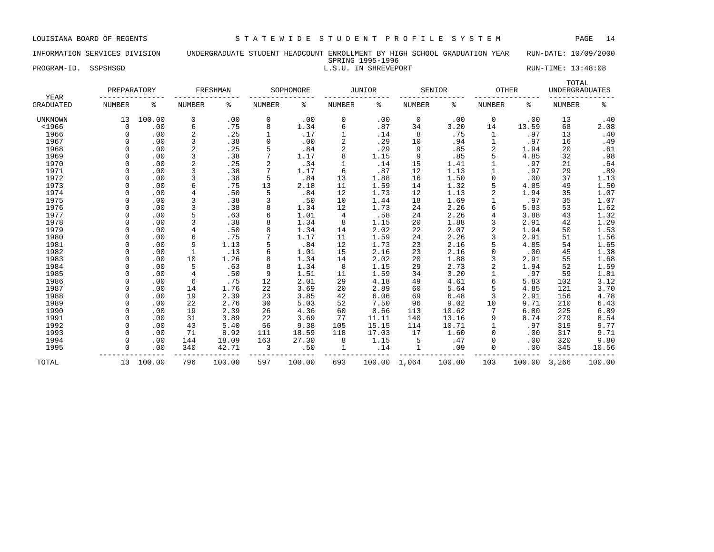### INFORMATION SERVICES DIVISION UNDERGRADUATE STUDENT HEADCOUNT ENROLLMENT BY HIGH SCHOOL GRADUATION YEAR RUN-DATE: 10/09/2000 SPRING 1995-1996

PROGRAM-ID. SSPSHSGD **EXECUTE:** 13:48:08 L.S.U. IN SHREVEPORT RUN-TIME: 13:48:08

|                          | PREPARATORY   |        |                | FRESHMAN |               | SOPHOMORE |                | <b>JUNIOR</b> |              | SENIOR | <b>OTHER</b>  |        | TOTAL<br><b>UNDERGRADUATES</b> |        |
|--------------------------|---------------|--------|----------------|----------|---------------|-----------|----------------|---------------|--------------|--------|---------------|--------|--------------------------------|--------|
| YEAR<br><b>GRADUATED</b> | <b>NUMBER</b> | ి      | <b>NUMBER</b>  | နွ       | <b>NUMBER</b> | ႜ         | <b>NUMBER</b>  | ి             | NUMBER       | နွ     | <b>NUMBER</b> | ႜ      | <b>NUMBER</b>                  | ႜ      |
| <b>UNKNOWN</b>           | 13            | 100.00 | 0              | .00      | 0             | .00       | 0              | .00           | 0            | .00    | $\mathbf 0$   | .00    | 13                             | .40    |
| $<$ 1966                 | 0             | .00    | 6              | .75      | 8             | 1.34      | 6              | .87           | 34           | 3.20   | 14            | 13.59  | 68                             | 2.08   |
| 1966                     | $\Omega$      | .00    | $\overline{a}$ | .25      |               | .17       |                | .14           | 8            | .75    | 1             | .97    | 13                             | .40    |
| 1967                     |               | .00    | 3              | .38      | $\mathbf 0$   | .00       | $\overline{2}$ | .29           | 10           | .94    |               | .97    | 16                             | .49    |
| 1968                     |               | .00    | 2              | .25      | 5             | .84       | $\overline{2}$ | .29           | 9            | .85    | 2             | 1.94   | 20                             | .61    |
| 1969                     |               | .00    | 3              | .38      | 7             | 1.17      | 8              | 1.15          | 9            | .85    |               | 4.85   | 32                             | .98    |
| 1970                     |               | .00    | $\overline{2}$ | .25      | 2             | .34       |                | .14           | 15           | 1.41   |               | .97    | 21                             | .64    |
| 1971                     | $\Omega$      | .00    |                | .38      | 7             | 1.17      | 6              | .87           | 12           | 1.13   |               | .97    | 29                             | .89    |
| 1972                     | $\Omega$      | .00    |                | .38      | 5             | .84       | 13             | 1.88          | 16           | 1.50   | $\Omega$      | .00    | 37                             | 1.13   |
| 1973                     | $\Omega$      | .00    | 6              | .75      | 13            | 2.18      | 11             | 1.59          | 14           | 1.32   |               | 4.85   | 49                             | 1.50   |
| 1974                     |               | .00    | $\overline{4}$ | .50      | 5             | .84       | 12             | 1.73          | 12           | 1.13   | 2             | 1.94   | 35                             | 1.07   |
| 1975                     |               | .00    |                | .38      | 3             | .50       | 10             | 1.44          | 18           | 1.69   |               | .97    | 35                             | 1.07   |
| 1976                     |               | .00    | 3              | .38      |               | 1.34      | 12             | 1.73          | 24           | 2.26   |               | 5.83   | 53                             | 1.62   |
| 1977                     |               | .00    | 5              | .63      |               | 1.01      | $\overline{4}$ | .58           | 24           | 2.26   |               | 3.88   | 43                             | 1.32   |
| 1978                     |               | .00    |                | .38      |               | 1.34      | 8              | 1.15          | 20           | 1.88   |               | 2.91   | 42                             | 1.29   |
| 1979                     |               | .00    | 4              | .50      |               | 1.34      | 14             | 2.02          | 22           | 2.07   | 2             | 1.94   | 50                             | 1.53   |
| 1980                     |               | .00    | 6              | .75      |               | 1.17      | 11             | 1.59          | 24           | 2.26   |               | 2.91   | 51                             | 1.56   |
| 1981                     |               | .00    | 9              | 1.13     | 5             | .84       | 12             | 1.73          | 23           | 2.16   |               | 4.85   | 54                             | 1.65   |
| 1982                     |               | .00    | 1              | .13      | 6             | 1.01      | 15             | 2.16          | 23           | 2.16   |               | .00    | 45                             | 1.38   |
| 1983                     | $\Omega$      | .00    | 10             | 1.26     | 8             | 1.34      | 14             | 2.02          | 20           | 1.88   | 3             | 2.91   | 55                             | 1.68   |
| 1984                     |               | .00    | 5              | .63      | 8             | 1.34      | 8              | 1.15          | 29           | 2.73   | 2             | 1.94   | 52                             | 1.59   |
| 1985                     | $\Omega$      | .00    | 4              | .50      | 9             | 1.51      | 11             | 1.59          | 34           | 3.20   |               | .97    | 59                             | 1.81   |
| 1986                     |               | .00    | 6              | .75      | 12            | 2.01      | 29             | 4.18          | 49           | 4.61   | 6             | 5.83   | 102                            | 3.12   |
| 1987                     |               | .00    | 14             | 1.76     | 22            | 3.69      | 20             | 2.89          | 60           | 5.64   |               | 4.85   | 121                            | 3.70   |
| 1988                     |               | .00    | 19             | 2.39     | 23            | 3.85      | 42             | 6.06          | 69           | 6.48   | 3             | 2.91   | 156                            | 4.78   |
| 1989                     |               | .00    | 22             | 2.76     | 30            | 5.03      | 52             | 7.50          | 96           | 9.02   | 10            | 9.71   | 210                            | 6.43   |
| 1990                     | $\Omega$      | .00    | 19             | 2.39     | 26            | 4.36      | 60             | 8.66          | 113          | 10.62  |               | 6.80   | 225                            | 6.89   |
| 1991                     | $\Omega$      | .00    | 31             | 3.89     | 22            | 3.69      | 77             | 11.11         | 140          | 13.16  | 9             | 8.74   | 279                            | 8.54   |
| 1992                     | $\cap$        | .00    | 43             | 5.40     | 56            | 9.38      | 105            | 15.15         | 114          | 10.71  |               | .97    | 319                            | 9.77   |
| 1993                     |               | .00    | 71             | 8.92     | 111           | 18.59     | 118            | 17.03         | 17           | 1.60   |               | .00    | 317                            | 9.71   |
| 1994                     |               | .00    | 144            | 18.09    | 163           | 27.30     | 8              | 1.15          | 5            | .47    |               | .00    | 320                            | 9.80   |
| 1995                     |               | .00    | 340            | 42.71    | 3             | .50       | $\mathbf{1}$   | .14           | $\mathbf{1}$ | .09    |               | .00    | 345                            | 10.56  |
| TOTAL                    | 13            | 100.00 | 796            | 100.00   | 597           | 100.00    | 693            | 100.00 1,064  |              | 100.00 | 103           | 100.00 | 3,266                          | 100.00 |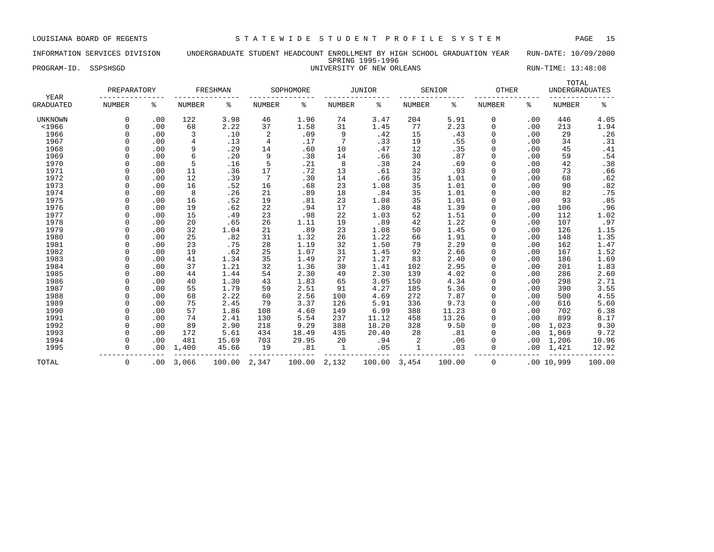# INFORMATION SERVICES DIVISION UNDERGRADUATE STUDENT HEADCOUNT ENROLLMENT BY HIGH SCHOOL GRADUATION YEAR RUN-DATE: 10/09/2000 SPRING 1995-1996

PROGRAM-ID. SSPSHSGD STRAM-ID. SSPSHSGD STRAM-ID. SSPSHSGD STRAM STRAM UNIVERSITY OF NEW ORLEANS RUN-TIME: 13:48:08

| YEAR             | PREPARATORY   |     |               | FRESHMAN |                 | SOPHOMORE |               | JUNIOR |               | SENIOR | OTHER         |     | TOTAL<br><b>UNDERGRADUATES</b> |                     |
|------------------|---------------|-----|---------------|----------|-----------------|-----------|---------------|--------|---------------|--------|---------------|-----|--------------------------------|---------------------|
| <b>GRADUATED</b> | <b>NUMBER</b> | ៖   | <b>NUMBER</b> | ႜ        | NUMBER          | ి         | <b>NUMBER</b> | ి      | <b>NUMBER</b> | ి      | <b>NUMBER</b> | ႜ   | <b>NUMBER</b>                  | နွ                  |
| <b>UNKNOWN</b>   | $\mathbf 0$   | .00 | 122           | 3.98     | 46              | 1.96      | 74            | 3.47   | 204           | 5.91   | 0             | .00 | 446                            | 4.05                |
| $<$ 1966         | $\Omega$      | .00 | 68            | 2.22     | 37              | 1.58      | 31            | 1.45   | 77            | 2.23   | 0             | .00 | 213                            | 1.94                |
| 1966             |               | .00 | 3             | .10      | $\overline{c}$  | .09       | 9             | .42    | 15            | .43    | $\mathbf 0$   | .00 | 29                             | .26                 |
| 1967             |               | .00 | 4             | .13      | $\overline{4}$  | .17       | 7             | .33    | 19            | .55    | $\Omega$      | .00 | 34                             | .31                 |
| 1968             |               | .00 | 9             | .29      | 14              | .60       | 10            | .47    | 12            | .35    | $\Omega$      | .00 | 45                             | .41                 |
| 1969             | $\cap$        | .00 | 6             | .20      | 9               | .38       | 14            | .66    | 30            | .87    | $\Omega$      | .00 | 59                             | .54                 |
| 1970             | $\cap$        | .00 | 5             | .16      | 5               | .21       | 8             | .38    | 24            | .69    | $\Omega$      | .00 | 42                             | .38                 |
| 1971             | $\cap$        | .00 | 11            | .36      | 17              | .72       | 13            | .61    | 32            | .93    | $\Omega$      | .00 | 73                             | .66                 |
| 1972             |               | .00 | 12            | .39      | $7\phantom{.0}$ | .30       | 14            | .66    | 35            | 1.01   | $\mathbf 0$   | .00 | 68                             | .62                 |
| 1973             |               | .00 | 16            | .52      | 16              | .68       | 23            | 1.08   | 35            | 1.01   | 0             | .00 | 90                             | .82                 |
| 1974             |               | .00 | 8             | .26      | 21              | .89       | 18            | .84    | 35            | 1.01   | 0             | .00 | 82                             | .75                 |
| 1975             |               | .00 | 16            | .52      | 19              | .81       | 23            | 1.08   | 35            | 1.01   | $\Omega$      | .00 | 93                             | .85                 |
| 1976             |               | .00 | 19            | .62      | 22              | .94       | 17            | .80    | 48            | 1.39   | $\Omega$      | .00 | 106                            | .96                 |
| 1977             |               | .00 | 15            | .49      | 23              | .98       | 22            | 1.03   | 52            | 1.51   | $\Omega$      | .00 | 112                            | 1.02                |
| 1978             |               | .00 | 20            | .65      | 26              | 1.11      | 19            | .89    | 42            | 1.22   | $\Omega$      | .00 | 107                            | .97                 |
| 1979             |               | .00 | 32            | 1.04     | 21              | .89       | 23            | 1.08   | 50            | 1.45   | $\Omega$      | .00 | 126                            | 1.15                |
| 1980             |               | .00 | 25            | .82      | 31              | 1.32      | 26            | 1.22   | 66            | 1.91   | $\Omega$      | .00 | 148                            | 1.35                |
| 1981             |               | .00 | 23            | .75      | 28              | 1.19      | 32            | 1.50   | 79            | 2.29   | $\mathbf 0$   | .00 | 162                            | 1.47                |
| 1982             |               | .00 | 19            | .62      | 25              | 1.07      | 31            | 1.45   | 92            | 2.66   | $\Omega$      | .00 | 167                            | $\frac{1.52}{1.69}$ |
| 1983             |               | .00 | 41            | 1.34     | 35              | 1.49      | 27            | 1.27   | 83            | 2.40   | 0             | .00 | 186                            |                     |
| 1984             |               | .00 | 37            | 1.21     | 32              | 1.36      | 30            | 1.41   | 102           | 2.95   | $\Omega$      | .00 | 201                            | 1.83                |
| 1985             |               | .00 | 44            | 1.44     | 54              | 2.30      | 49            | 2.30   | 139           | 4.02   | $\Omega$      | .00 | 286                            | 2.60                |
| 1986             | $\cap$        | .00 | 40            | 1.30     | 43              | 1.83      | 65            | 3.05   | 150           | 4.34   | $\Omega$      | .00 | 298                            | 2.71                |
| 1987             | $\cap$        | .00 | 55            | 1.79     | 59              | 2.51      | 91            | 4.27   | 185           | 5.36   | $\Omega$      | .00 | 390                            | 3.55                |
| 1988             | $\cap$        | .00 | 68            | 2.22     | 60              | 2.56      | 100           | 4.69   | 272           | 7.87   | $\Omega$      | .00 | 500                            | 4.55                |
| 1989             | $\cap$        | .00 | 75            | 2.45     | 79              | 3.37      | 126           | 5.91   | 336           | 9.73   | 0             | .00 | 616                            | 5.60                |
| 1990             |               | .00 | 57            | 1.86     | 108             | 4.60      | 149           | 6.99   | 388           | 11.23  | 0             | .00 | 702                            | 6.38                |
| 1991             |               | .00 | 74            | 2.41     | 130             | 5.54      | 237           | 11.12  | 458           | 13.26  | $\mathbf 0$   | .00 | 899                            | 8.17                |
| 1992             |               | .00 | 89            | 2.90     | 218             | 9.29      | 388           | 18.20  | 328           | 9.50   | $\mathbf 0$   | .00 | 1,023                          | 9.30                |
| 1993             |               | .00 | 172           | 5.61     | 434             | 18.49     | 435           | 20.40  | 28            | .81    | $\Omega$      | .00 | 1,069                          | 9.72                |
| 1994             |               | .00 | 481           | 15.69    | 703             | 29.95     | 20            | .94    | 2             | .06    | $\Omega$      | .00 | 1,206                          | 10.96               |
| 1995             | $\Omega$      | .00 | 1,400         | 45.66    | 19              | .81       | $\mathbf{1}$  | .05    | $\mathbf{1}$  | .03    | $\Omega$      | .00 | 1,421                          | 12.92               |
| TOTAL            | 0             | .00 | 3,066         | 100.00   | 2,347           | 100.00    | 2,132         | 100.00 | 3,454         | 100.00 | 0             |     | .0010,999                      | 100.00              |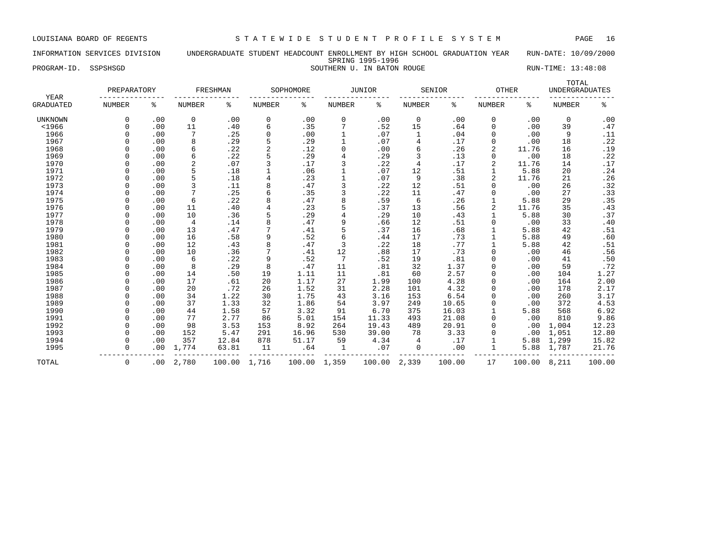# INFORMATION SERVICES DIVISION UNDERGRADUATE STUDENT HEADCOUNT ENROLLMENT BY HIGH SCHOOL GRADUATION YEAR RUN-DATE: 10/09/2000 SPRING 1995-1996

PROGRAM-ID. SSPSHSGD SOUTHERN U. IN BATON ROUGE SOUTHERN U. THE SEPARAM-ID. SSPSHSGD

|                          | PREPARATORY   |     |                | FRESHMAN |        | SOPHOMORE |          | JUNIOR |                | SENIOR | <b>OTHER</b>   |        | TOTAL<br><b>UNDERGRADUATES</b> |        |
|--------------------------|---------------|-----|----------------|----------|--------|-----------|----------|--------|----------------|--------|----------------|--------|--------------------------------|--------|
| YEAR<br><b>GRADUATED</b> | <b>NUMBER</b> | နွ  | NUMBER         | ៖        | NUMBER | နွ        | NUMBER   | နွ     | NUMBER         | ႜ      | NUMBER         | ి      | NUMBER                         | နွ     |
| UNKNOWN                  | 0             | .00 | $\mathbf 0$    | .00      | 0      | .00       | 0        | .00    | $\mathbf 0$    | .00    | 0              | .00    | 0                              | .00    |
| $<$ 1966                 | $\Omega$      | .00 | 11             | .40      | 6      | .35       |          | .52    | 15             | .64    | 0              | .00    | 39                             | .47    |
| 1966                     |               | .00 | 7              | .25      | 0      | .00       |          | .07    | 1              | .04    | 0              | .00    | 9                              | .11    |
| 1967                     |               | .00 | 8              | .29      | 5      | .29       | 1        | .07    | 4              | .17    | 0              | .00    | 18                             | .22    |
| 1968                     |               | .00 | 6              | .22      | 2      | .12       | $\Omega$ | .00    | 6              | .26    | $\overline{a}$ | 11.76  | 16                             | .19    |
| 1969                     |               | .00 | 6              | .22      | 5      | .29       | 4        | .29    | 3              | .13    | 0              | .00    | 18                             | .22    |
| 1970                     |               | .00 | $\overline{c}$ | .07      | 3      | .17       | 3        | .22    | $\overline{4}$ | .17    | 2              | 11.76  | 14                             | .17    |
| 1971                     | C             | .00 | 5              | .18      |        | .06       |          | .07    | 12             | .51    | $\mathbf{1}$   | 5.88   | 20                             | .24    |
| 1972                     | $\Omega$      | .00 | 5              | .18      | 4      | .23       |          | .07    | 9              | .38    | $\overline{a}$ | 11.76  | 21                             | .26    |
| 1973                     | $\Omega$      | .00 | 3              | .11      | 8      | .47       | 3        | .22    | 12             | .51    | $\Omega$       | .00    | 26                             | .32    |
| 1974                     | $\Omega$      | .00 | 7              | .25      | 6      | .35       | 3        | .22    | 11             | .47    | $\Omega$       | .00    | 27                             | .33    |
| 1975                     |               | .00 | 6              | .22      | 8      | .47       | 8        | .59    | 6              | .26    |                | 5.88   | 29                             | .35    |
| 1976                     |               | .00 | 11             | .40      |        | .23       |          | .37    | 13             | .56    | 2              | 11.76  | 35                             | .43    |
| 1977                     |               | .00 | 10             | .36      |        | .29       |          | .29    | 10             | .43    |                | 5.88   | 30                             | .37    |
| 1978                     |               | .00 | $\overline{4}$ | .14      |        | .47       | 9        | .66    | 12             | .51    | 0              | .00    | 33                             | .40    |
| 1979                     |               | .00 | 13             | .47      |        | .41       |          | .37    | 16             | .68    |                | 5.88   | 42                             | .51    |
| 1980                     |               | .00 | 16             | .58      | 9      | .52       | 6        | .44    | 17             | .73    |                | 5.88   | 49                             | .60    |
| 1981                     |               | .00 | 12             | .43      |        | .47       | 3        | .22    | 18             | .77    |                | 5.88   | 42                             | .51    |
| 1982                     |               | .00 | 10             | .36      |        | .41       | 12       | .88    | 17             | .73    | $\Omega$       | .00    | 46                             | .56    |
| 1983                     | <sup>0</sup>  | .00 | 6              | .22      | 9      | .52       | 7        | .52    | 19             | .81    | $\Omega$       | .00    | 41                             | .50    |
| 1984                     | $\Omega$      | .00 | 8              | .29      | 8      | .47       | 11       | .81    | 32             | 1.37   | 0              | .00    | 59                             | .72    |
| 1985                     | 0             | .00 | 14             | .50      | 19     | 1.11      | 11       | .81    | 60             | 2.57   | 0              | .00    | 104                            | 1.27   |
| 1986                     |               | .00 | 17             | .61      | 20     | 1.17      | 27       | 1.99   | 100            | 4.28   | 0              | .00    | 164                            | 2.00   |
| 1987                     |               | .00 | 20             | .72      | 26     | 1.52      | 31       | 2.28   | 101            | 4.32   | 0              | .00    | 178                            | 2.17   |
| 1988                     | $\cap$        | .00 | 34             | 1.22     | 30     | 1.75      | 43       | 3.16   | 153            | 6.54   | $\Omega$       | .00    | 260                            | 3.17   |
| 1989                     |               | .00 | 37             | 1.33     | 32     | 1.86      | 54       | 3.97   | 249            | 10.65  | $\Omega$       | .00    | 372                            | 4.53   |
| 1990                     |               | .00 | 44             | 1.58     | 57     | 3.32      | 91       | 6.70   | 375            | 16.03  |                | 5.88   | 568                            | 6.92   |
| 1991                     | $\Omega$      | .00 | 77             | 2.77     | 86     | 5.01      | 154      | 11.33  | 493            | 21.08  | $\Omega$       | .00    | 810                            | 9.86   |
| 1992                     | $\Omega$      | .00 | 98             | 3.53     | 153    | 8.92      | 264      | 19.43  | 489            | 20.91  | $\Omega$       | .00    | 1,004                          | 12.23  |
| 1993                     | $\Omega$      | .00 | 152            | 5.47     | 291    | 16.96     | 530      | 39.00  | 78             | 3.33   | $\Omega$       | .00    | 1,051                          | 12.80  |
| 1994                     | $\Omega$      | .00 | 357            | 12.84    | 878    | 51.17     | 59       | 4.34   | $\overline{4}$ | .17    | 1              | 5.88   | 1,299                          | 15.82  |
| 1995                     | $\Omega$      | .00 | 1,774          | 63.81    | 11     | .64       | 1        | .07    | 0              | .00    | 1              | 5.88   | 1,787                          | 21.76  |
| TOTAL                    | $\mathbf 0$   | .00 | 2,780          | 100.00   | 1,716  | 100.00    | 1,359    | 100.00 | 2,339          | 100.00 | 17             | 100.00 | 8,211                          | 100.00 |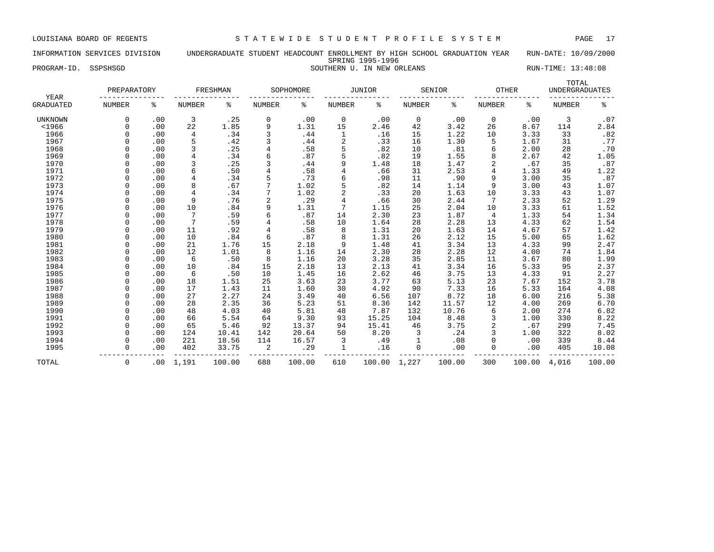### INFORMATION SERVICES DIVISION UNDERGRADUATE STUDENT HEADCOUNT ENROLLMENT BY HIGH SCHOOL GRADUATION YEAR RUN-DATE: 10/09/2000 SPRING 1995-1996

PROGRAM-ID. SSPSHSGD SOUTHERN U. IN NEW ORLEANS RUN-TIME: 13:48:08

| YEAR             | PREPARATORY   |     |                 | FRESHMAN |                | SOPHOMORE |               | <b>JUNIOR</b> |               | SENIOR | <b>OTHER</b>  |        | TOTAL<br><b>UNDERGRADUATES</b> |        |
|------------------|---------------|-----|-----------------|----------|----------------|-----------|---------------|---------------|---------------|--------|---------------|--------|--------------------------------|--------|
| <b>GRADUATED</b> | <b>NUMBER</b> | နွ  | <b>NUMBER</b>   | နွ       | <b>NUMBER</b>  | ៖         | <b>NUMBER</b> | ి             | <b>NUMBER</b> | ႜ      | <b>NUMBER</b> | ి      | <b>NUMBER</b>                  | နွ     |
| UNKNOWN          | 0             | .00 | 3               | .25      | 0              | .00       | 0             | .00           | 0             | .00    | 0             | .00    | 3                              | .07    |
| $<$ 1966         | $\Omega$      | .00 | 22              | 1.85     | 9              | 1.31      | 15            | 2.46          | 42            | 3.42   | 26            | 8.67   | 114                            | 2.84   |
| 1966             | $\Omega$      | .00 | 4               | .34      | 3              | .44       | 1             | .16           | 15            | 1.22   | 10            | 3.33   | 33                             | .82    |
| 1967             | $\Omega$      | .00 | 5               | .42      | 3              | .44       | 2             | .33           | 16            | 1.30   | 5             | 1.67   | 31                             | .77    |
| 1968             |               | .00 | 3               | .25      |                | .58       | 5             | .82           | 10            | .81    | 6             | 2.00   | 28                             | .70    |
| 1969             |               | .00 | $\overline{4}$  | .34      | 6              | .87       | 5             | .82           | 19            | 1.55   | 8             | 2.67   | 42                             | 1.05   |
| 1970             |               | .00 | 3               | .25      | 3              | .44       | 9             | 1.48          | 18            | 1.47   | 2             | .67    | 35                             | .87    |
| 1971             |               | .00 | 6               | .50      | $\overline{4}$ | .58       |               | .66           | 31            | 2.53   | 4             | 1.33   | 49                             | 1.22   |
| 1972             |               | .00 | 4               | .34      | 5              | .73       | 6             | .98           | 11            | .90    | 9             | 3.00   | 35                             | .87    |
| 1973             |               | .00 | 8               | .67      |                | 1.02      |               | .82           | 14            | 1.14   | 9             | 3.00   | 43                             | 1.07   |
| 1974             |               | .00 | 4               | .34      |                | 1.02      |               | .33           | 20            | 1.63   | 10            | 3.33   | 43                             | 1.07   |
| 1975             |               | .00 | 9               | .76      | 2              | .29       | 4             | .66           | 30            | 2.44   | 7             | 2.33   | 52                             | 1.29   |
| 1976             | $\cap$        | .00 | 10              | .84      | 9              | 1.31      |               | 1.15          | 25            | 2.04   | 10            | 3.33   | 61                             | 1.52   |
| 1977             | $\Omega$      | .00 | 7               | .59      | 6              | .87       | 14            | 2.30          | 23            | 1.87   | 4             | 1.33   | 54                             | 1.34   |
| 1978             | $\Omega$      | .00 | $7\phantom{.0}$ | .59      | 4              | .58       | 10            | 1.64          | 28            | 2.28   | 13            | 4.33   | 62                             | 1.54   |
| 1979             | 0             | .00 | 11              | .92      | 4              | .58       | 8             | 1.31          | 20            | 1.63   | 14            | 4.67   | 57                             | 1.42   |
| 1980             | $\Omega$      | .00 | 10              | .84      | 6              | .87       | 8             | 1.31          | 26            | 2.12   | 15            | 5.00   | 65                             | 1.62   |
| 1981             | $\Omega$      | .00 | 21              | 1.76     | 15             | 2.18      | 9             | 1.48          | 41            | 3.34   | 13            | 4.33   | 99                             | 2.47   |
| 1982             |               | .00 | 12              | 1.01     | 8              | 1.16      | 14            | 2.30          | 28            | 2.28   | 12            | 4.00   | 74                             | 1.84   |
| 1983             |               | .00 | 6               | .50      | 8              | 1.16      | 20            | 3.28          | 35            | 2.85   | 11            | 3.67   | 80                             | 1.99   |
| 1984             | O             | .00 | 10              | .84      | 15             | 2.18      | 13            | 2.13          | 41            | 3.34   | 16            | 5.33   | 95                             | 2.37   |
| 1985             |               | .00 | 6               | .50      | 10             | 1.45      | 16            | 2.62          | 46            | 3.75   | 13            | 4.33   | 91                             | 2.27   |
| 1986             |               | .00 | 18              | 1.51     | 25             | 3.63      | 23            | 3.77          | 63            | 5.13   | 23            | 7.67   | 152                            | 3.78   |
| 1987             | $\cap$        | .00 | 17              | 1.43     | 11             | 1.60      | 30            | 4.92          | 90            | 7.33   | 16            | 5.33   | 164                            | 4.08   |
| 1988             | $\Omega$      | .00 | 27              | 2.27     | 24             | 3.49      | 40            | 6.56          | 107           | 8.72   | 18            | 6.00   | 216                            | 5.38   |
| 1989             | $\Omega$      | .00 | 28              | 2.35     | 36             | 5.23      | 51            | 8.36          | 142           | 11.57  | 12            | 4.00   | 269                            | 6.70   |
| 1990             | $\Omega$      | .00 | 48              | 4.03     | 40             | 5.81      | 48            | 7.87          | 132           | 10.76  | 6             | 2.00   | 274                            | 6.82   |
| 1991             | $\Omega$      | .00 | 66              | 5.54     | 64             | 9.30      | 93            | 15.25         | 104           | 8.48   | 3             | 1.00   | 330                            | 8.22   |
| 1992             |               | .00 | 65              | 5.46     | 92             | 13.37     | 94            | 15.41         | 46            | 3.75   | 2             | .67    | 299                            | 7.45   |
| 1993             | $\Omega$      | .00 | 124             | 10.41    | 142            | 20.64     | 50            | 8.20          | 3             | .24    | 3             | 1.00   | 322                            | 8.02   |
| 1994             |               | .00 | 221             | 18.56    | 114            | 16.57     | 3             | .49           |               | .08    | 0             | .00    | 339                            | 8.44   |
| 1995             | $\mathbf 0$   | .00 | 402             | 33.75    | 2              | .29       | $\mathbf{1}$  | .16           | $\mathbf 0$   | .00    | 0             | .00    | 405                            | 10.08  |
| TOTAL            | 0             | .00 | 1,191           | 100.00   | 688            | 100.00    | 610           | 100.00        | 1,227         | 100.00 | 300           | 100.00 | 4,016                          | 100.00 |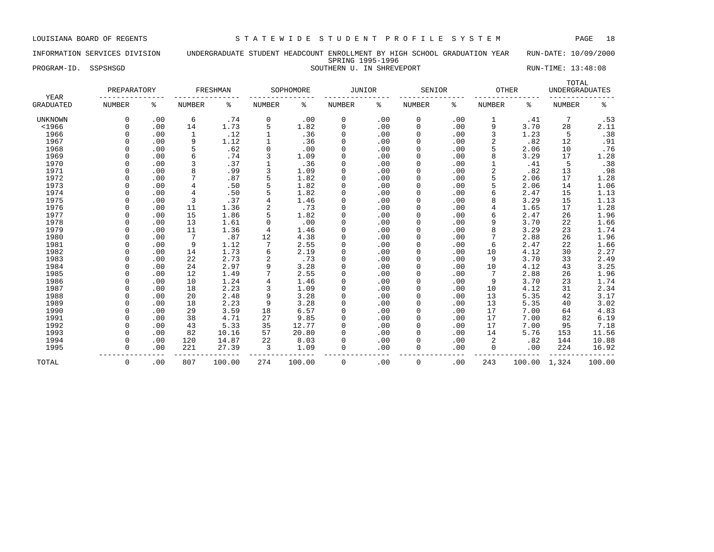### INFORMATION SERVICES DIVISION UNDERGRADUATE STUDENT HEADCOUNT ENROLLMENT BY HIGH SCHOOL GRADUATION YEAR RUN-DATE: 10/09/2000 SPRING 1995-1996 PROGRAM-ID. SSPSHSGD SOUTHERN U. IN SHREVEPORT SOUTHERN U. IN SHREVEPORT RUN-TIME: 13:48:08

| YEAR             | PREPARATORY   |     |               | FRESHMAN |                | SOPHOMORE |               | JUNIOR | SENIOR        |     | OTHER          |        | TOTAL<br><b>UNDERGRADUATES</b> |        |
|------------------|---------------|-----|---------------|----------|----------------|-----------|---------------|--------|---------------|-----|----------------|--------|--------------------------------|--------|
| <b>GRADUATED</b> | <b>NUMBER</b> | ႜ   | <b>NUMBER</b> | နွ       | NUMBER         | ႜ         | <b>NUMBER</b> | ៖      | <b>NUMBER</b> | ႜ   | <b>NUMBER</b>  | ႜ      | <b>NUMBER</b>                  | နွ     |
| <b>UNKNOWN</b>   | $\Omega$      | .00 | 6             | .74      | 0              | .00       | 0             | .00    | 0             | .00 | 1              | .41    | 7                              | .53    |
| $<$ 1966         | $\Omega$      | .00 | 14            | 1.73     | 5              | 1.82      | 0             | .00    | $\mathbf 0$   | .00 | 9              | 3.70   | 28                             | 2.11   |
| 1966             | $\Omega$      | .00 | 1             | .12      |                | .36       | 0             | .00    | 0             | .00 | 3              | 1.23   | 5                              | .38    |
| 1967             | $\Omega$      | .00 | 9             | 1.12     |                | .36       | 0             | .00    | 0             | .00 | $\overline{2}$ | .82    | 12                             | .91    |
| 1968             | $\Omega$      | .00 | 5             | .62      | 0              | .00       | 0             | .00    | 0             | .00 |                | 2.06   | 10                             | .76    |
| 1969             | $\Omega$      | .00 | 6             | .74      | 3              | 1.09      | 0             | .00    | 0             | .00 | 8              | 3.29   | 17                             | 1.28   |
| 1970             | $\Omega$      | .00 | 3             | .37      |                | .36       | 0             | .00    | 0             | .00 |                | .41    | 5                              | .38    |
| 1971             | $\cap$        | .00 | 8             | .99      | 3              | 1.09      | $\Omega$      | .00    | $\Omega$      | .00 | $\overline{2}$ | .82    | 13                             | .98    |
| 1972             |               | .00 | 7             | .87      | 5              | 1.82      | $\Omega$      | .00    | $\Omega$      | .00 |                | 2.06   | 17                             | 1.28   |
| 1973             |               | .00 | 4             | .50      |                | 1.82      | 0             | .00    | $\Omega$      | .00 |                | 2.06   | 14                             | 1.06   |
| 1974             | $\cap$        | .00 | 4             | .50      |                | 1.82      | $\Omega$      | .00    | $\Omega$      | .00 |                | 2.47   | 15                             | 1.13   |
| 1975             | $\cap$        | .00 | 3             | .37      | 4              | 1.46      | $\Omega$      | .00    | $\Omega$      | .00 | 8              | 3.29   | 15                             | 1.13   |
| 1976             | $\cap$        | .00 | 11            | 1.36     | $\overline{c}$ | .73       | $\Omega$      | .00    | $\Omega$      | .00 | 4              | 1.65   | 17                             | 1.28   |
| 1977             | $\cap$        | .00 | 15            | 1.86     | 5              | 1.82      | $\Omega$      | .00    | 0             | .00 | 6              | 2.47   | 26                             | 1.96   |
| 1978             | $\Omega$      | .00 | 13            | 1.61     | 0              | .00       | $\Omega$      | .00    | 0             | .00 | 9              | 3.70   | 22                             | 1.66   |
| 1979             | $\Omega$      | .00 | 11            | 1.36     | 4              | 1.46      | 0             | .00    | 0             | .00 | 8              | 3.29   | 23                             | 1.74   |
| 1980             | $\Omega$      | .00 | 7             | .87      | 12             | 4.38      | 0             | .00    | 0             | .00 |                | 2.88   | 26                             | 1.96   |
| 1981             | $\Omega$      | .00 | 9             | 1.12     |                | 2.55      | 0             | .00    | $\mathbf 0$   | .00 | 6              | 2.47   | 22                             | 1.66   |
| 1982             | $\Omega$      | .00 | 14            | 1.73     | 6              | 2.19      | $\mathbf 0$   | .00    | $\Omega$      | .00 | 10             | 4.12   | 30                             | 2.27   |
| 1983             | $\Omega$      | .00 | 22            | 2.73     | 2              | .73       | 0             | .00    | 0             | .00 | 9              | 3.70   | 33                             | 2.49   |
| 1984             | $\Omega$      | .00 | 24            | 2.97     | 9              | 3.28      | 0             | .00    | $\Omega$      | .00 | 10             | 4.12   | 43                             | 3.25   |
| 1985             | $\Omega$      | .00 | 12            | 1.49     | 7              | 2.55      | 0             | .00    | $\Omega$      | .00 | 7              | 2.88   | 26                             | 1.96   |
| 1986             | $\Omega$      | .00 | 10            | 1.24     | 4              | 1.46      | 0             | .00    | $\Omega$      | .00 | 9              | 3.70   | 23                             | 1.74   |
| 1987             | $\cap$        | .00 | 18            | 2.23     | 3              | 1.09      | $\Omega$      | .00    | $\Omega$      | .00 | 10             | 4.12   | 31                             | 2.34   |
| 1988             | $\cap$        | .00 | 20            | 2.48     | 9              | 3.28      | $\Omega$      | .00    | $\Omega$      | .00 | 13             | 5.35   | 42                             | 3.17   |
| 1989             | $\cap$        | .00 | 18            | 2.23     | 9              | 3.28      | $\Omega$      | .00    | $\Omega$      | .00 | 13             | 5.35   | 40                             | 3.02   |
| 1990             | $\Omega$      | .00 | 29            | 3.59     | 18             | 6.57      | $\Omega$      | .00    | 0             | .00 | 17             | 7.00   | 64                             | 4.83   |
| 1991             | $\Omega$      | .00 | 38            | 4.71     | 27             | 9.85      | 0             | .00    | 0             | .00 | 17             | 7.00   | 82                             | 6.19   |
| 1992             | $\Omega$      | .00 | 43            | 5.33     | 35             | 12.77     | 0             | .00    | 0             | .00 | 17             | 7.00   | 95                             | 7.18   |
| 1993             | $\Omega$      | .00 | 82            | 10.16    | 57             | 20.80     | 0             | .00    | $\mathbf 0$   | .00 | 14             | 5.76   | 153                            | 11.56  |
| 1994             | $\Omega$      | .00 | 120           | 14.87    | 22             | 8.03      | 0             | .00    | $\Omega$      | .00 | 2              | .82    | 144                            | 10.88  |
| 1995             | $\Omega$      | .00 | 221           | 27.39    | 3              | 1.09      | 0             | .00    | 0             | .00 | 0              | .00    | 224                            | 16.92  |
| TOTAL            | 0             | .00 | 807           | 100.00   | 274            | 100.00    | 0             | .00    | 0             | .00 | 243            | 100.00 | 1,324                          | 100.00 |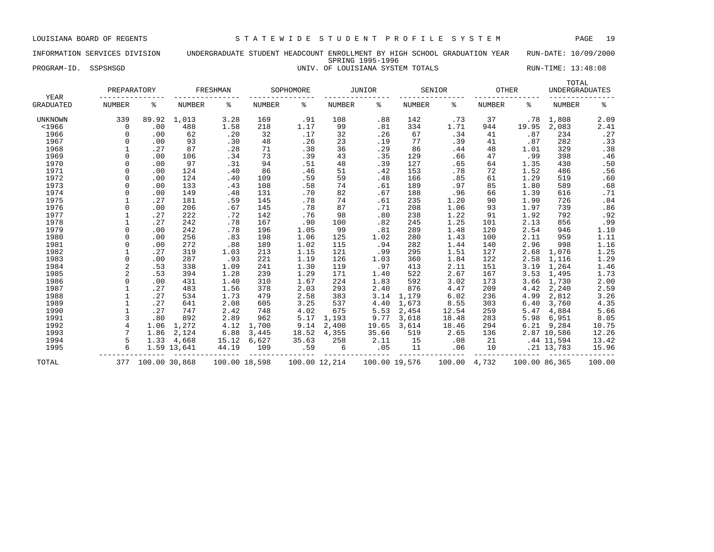## INFORMATION SERVICES DIVISION UNDERGRADUATE STUDENT HEADCOUNT ENROLLMENT BY HIGH SCHOOL GRADUATION YEAR RUN-DATE: 10/09/2000 SPRING 1995-1996 PROGRAM-ID. SSPSHSGD **EXECUTED A SECULARE STATE STATE STATE STATE** TOTALS RUN-TIME: 13:48:08

|                   | PREPARATORY    |               |             | FRESHMAN      |        | SOPHOMORE |               | <b>JUNIOR</b> |        | SENIOR | <b>OTHER</b> |               | TOTAL<br><b>UNDERGRADUATES</b> |                  |
|-------------------|----------------|---------------|-------------|---------------|--------|-----------|---------------|---------------|--------|--------|--------------|---------------|--------------------------------|------------------|
| YEAR<br>GRADUATED | <b>NUMBER</b>  | နွ            | NUMBER      | ႜ             | NUMBER | ႜ         | NUMBER        | ႜ             | NUMBER | ి      | NUMBER       | ႜ             | <b>NUMBER</b>                  | ႜ                |
| UNKNOWN           | 339            | 89.92         | 1,013       | 3.28          | 169    | .91       | 108           | .88           | 142    | .73    | 37           | .78           | 1,808                          | 2.09             |
| $<$ 1966          | $\mathbf 0$    | .00           | 488         | 1.58          | 218    | 1.17      | 99            | .81           | 334    | 1.71   | 944          | 19.95         | 2,083                          | 2.41             |
| 1966              | 0              | .00           | 62          | .20           | 32     | .17       | 32            | .26           | 67     | .34    | 41           | .87           | 234                            | .27              |
| 1967              | O              | .00           | 93          | .30           | 48     | .26       | 23            | .19           | 77     | .39    | 41           | .87           | 282                            | .33              |
| 1968              |                | .27           | 87          | .28           | 71     | .38       | 36            | .29           | 86     | .44    | 48           | 1.01          | 329                            | .38              |
| 1969              | $\Omega$       | .00           | 106         | .34           | 73     | .39       | 43            | .35           | 129    | .66    | 47           | .99           | 398                            | .46              |
| 1970              | O              | .00           | 97          | .31           | 94     | .51       | 48            | .39           | 127    | .65    | 64           | 1.35          | 430                            | .50              |
| 1971              | 0              | .00           | 124         | .40           | 86     | .46       | 51            | .42           | 153    | .78    | 72           | 1.52          | 486                            | .56              |
| 1972              | 0              | .00           | 124         | .40           | 109    | .59       | 59            | .48           | 166    | .85    | 61           | 1.29          | 519                            | .60              |
| 1973              | 0              | .00           | 133         | .43           | 108    | .58       | 74            | .61           | 189    | .97    | 85           | 1.80          | 589                            | .68              |
| 1974              | 0              | .00           | 149         | .48           | 131    | .70       | 82            | .67           | 188    | .96    | 66           | 1.39          | 616                            | .71              |
| 1975              |                | .27           | 181         | .59           | 145    | .78       | 74            | .61           | 235    | 1.20   | 90           | 1.90          | 726                            | .84              |
| 1976              | $\cap$         | .00           | 206         | .67           | 145    | .78       | 87            | .71           | 208    | 1.06   | 93           | 1.97          | 739                            | .86              |
| 1977              |                | .27           | 222         | .72           | 142    | .76       | 98            | .80           | 238    | 1.22   | 91           | 1.92          | 792                            | .92              |
| 1978              |                | .27           | 242         | .78           | 167    | .90       | 100           | .82           | 245    | 1.25   | 101          | 2.13          | 856                            | .99              |
| 1979              | $\cap$         | .00           | 242         | .78           | 196    | 1.05      | 99            | .81           | 289    | 1.48   | 120          | 2.54          | 946                            | 1.10             |
| 1980              | $\Omega$       | .00           | 256         | .83           | 198    | 1.06      | 125           | 1.02          | 280    | 1.43   | 100          | 2.11          | 959                            | 1.11             |
| 1981              | 0              | .00           | 272         | .88           | 189    | 1.02      | 115           | .94           | 282    | 1.44   | 140          | 2.96          | 998                            | 1.16             |
| 1982              |                | .27           | 319         | 1.03          | 213    | 1.15      | 121           | .99           | 295    | 1.51   | 127          | 2.68          | 1,076                          |                  |
| 1983              | 0              | .00           | 287         | .93           | 221    | 1.19      | 126           | 1.03          | 360    | 1.84   | 122          | 2.58          | 1,116                          | $1.25$<br>$1.29$ |
| 1984              | 2              | .53           | 338         | 1.09          | 241    | 1.30      | 119           | .97           | 413    | 2.11   | 151          | 3.19          | 1,264                          | 1.46             |
| 1985              | $\overline{a}$ | .53           | 394         | 1.28          | 239    | 1.29      | 171           | 1.40          | 522    | 2.67   | 167          | 3.53          | 1,495                          | 1.73             |
| 1986              |                | .00           | 431         | 1.40          | 310    | 1.67      | 224           | 1.83          | 592    | 3.02   | 173          | 3.66          | 1,730                          | 2.00             |
| 1987              |                | .27           | 483         | 1.56          | 378    | 2.03      | 293           | 2.40          | 876    | 4.47   | 209          | 4.42          | 2,240                          | 2.59             |
| 1988              |                | .27           | 534         | 1.73          | 479    | 2.58      | 383           | 3.14          | 1,179  | 6.02   | 236          | 4.99          | 2,812                          | 3.26             |
| 1989              | $\mathbf{1}$   | .27           | 641         | 2.08          | 605    | 3.25      | 537           | 4.40          | 1,673  | 8.55   | 303          | 6.40          | 3,760                          | 4.35             |
| 1990              | $\mathbf 1$    | .27           | 747         | 2.42          | 748    | 4.02      | 675           | 5.53          | 2,454  | 12.54  | 259          | 5.47          | 4,884                          | 5.66             |
| 1991              | 3              | .80           | 892         | 2.89          | 962    | 5.17      | 1,193         | 9.77          | 3,618  | 18.48  | 283          | 5.98          | 6,951                          | 8.05             |
| 1992              | $\overline{4}$ | 1.06          | 1,272       | 4.12          | 1,700  | 9.14      | 2,400         | 19.65         | 3,614  | 18.46  | 294          | 6.21          | 9,284                          | 10.75            |
| 1993              | 7              | 1.86          | 2,124       | 6.88          | 3,445  | 18.52     | 4,355         | 35.66         | 519    | 2.65   | 136          |               | 2.87 10,586                    | 12.26            |
| 1994              | 5              | 1.33          | 4,668       | 15.12         | 6,627  | 35.63     | 258           | 2.11          | 15     | .08    | 21           |               | .44 11,594                     | 13.42            |
| 1995              | 6              |               | 1.59 13,641 | 44.19         | 109    | .59       | 6             | .05           | 11     | .06    | 10           |               | .21 13,783                     | 15.96            |
| TOTAL             | 377            | 100.00 30,868 |             | 100.00 18,598 |        |           | 100.00 12,214 | 100.00 19,576 |        | 100.00 | 4,732        | 100.00 86,365 |                                | 100.00           |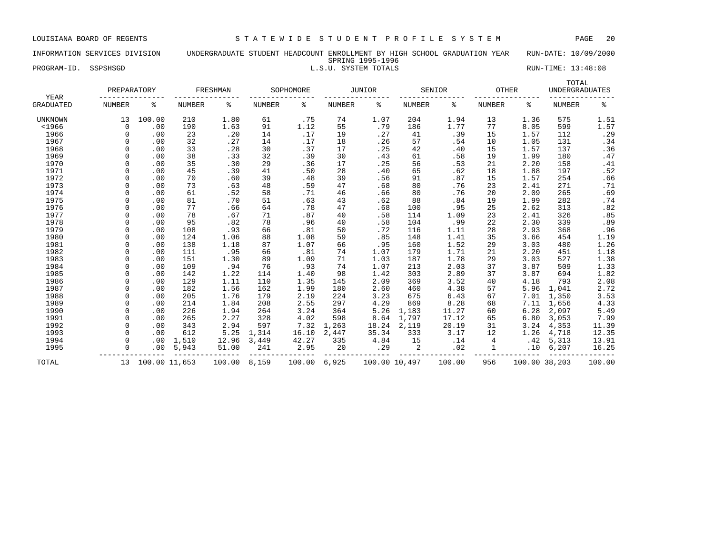### INFORMATION SERVICES DIVISION UNDERGRADUATE STUDENT HEADCOUNT ENROLLMENT BY HIGH SCHOOL GRADUATION YEAR RUN-DATE: 10/09/2000 SPRING 1995-1996 PROGRAM-ID. SSPSHSGD **EXECUTE:** 13:48:08 L.S.U. SYSTEM TOTALS RUN-TIME: 13:48:08

| YEAR             | PREPARATORY |               |        | FRESHMAN |        | SOPHOMORE |               | <b>JUNIOR</b> |               | SENIOR | <b>OTHER</b>  |               | TOTAL<br><b>UNDERGRADUATES</b> |        |
|------------------|-------------|---------------|--------|----------|--------|-----------|---------------|---------------|---------------|--------|---------------|---------------|--------------------------------|--------|
| <b>GRADUATED</b> | NUMBER      | န့            | NUMBER | ႜ        | NUMBER | နွ        | <b>NUMBER</b> | ి             | NUMBER        | ႜ      | <b>NUMBER</b> | ႜ             | <b>NUMBER</b>                  | နွ     |
| <b>UNKNOWN</b>   | 13          | 100.00        | 210    | 1.80     | 61     | .75       | 74            | 1.07          | 204           | 1.94   | 13            | 1.36          | 575                            | 1.51   |
| $<$ 1966         | 0           | .00           | 190    | 1.63     | 91     | 1.12      | 55            | .79           | 186           | 1.77   | 77            | 8.05          | 599                            | 1.57   |
| 1966             | $\Omega$    | .00           | 23     | .20      | 14     | .17       | 19            | .27           | 41            | .39    | 15            | 1.57          | 112                            | .29    |
| 1967             | $\Omega$    | .00           | 32     | .27      | 14     | .17       | 18            | .26           | 57            | .54    | 10            | 1.05          | 131                            | .34    |
| 1968             |             | .00           | 33     | .28      | 30     | .37       | 17            | .25           | 42            | .40    | 15            | 1.57          | 137                            | .36    |
| 1969             | $\Omega$    | .00           | 38     | .33      | 32     | .39       | 30            | .43           | 61            | .58    | 19            | 1.99          | 180                            | .47    |
| 1970             | $\Omega$    | .00           | 35     | .30      | 29     | .36       | 17            | .25           | 56            | .53    | 21            | 2.20          | 158                            | .41    |
| 1971             | $\Omega$    | .00           | 45     | .39      | 41     | .50       | 28            | .40           | 65            | .62    | 18            | 1.88          | 197                            | .52    |
| 1972             | $\Omega$    | .00           | 70     | .60      | 39     | .48       | 39            | .56           | 91            | .87    | 15            | 1.57          | 254                            | .66    |
| 1973             | $\Omega$    | .00           | 73     | .63      | 48     | .59       | 47            | .68           | 80            | .76    | 23            | 2.41          | 271                            | .71    |
| 1974             | $\Omega$    | .00           | 61     | .52      | 58     | .71       | 46            | .66           | 80            | .76    | 20            | 2.09          | 265                            | .69    |
| 1975             | $\cap$      | .00           | 81     | .70      | 51     | .63       | 43            | .62           | 88            | .84    | 19            | 1.99          | 282                            | .74    |
| 1976             | $\Omega$    | .00           | 77     | .66      | 64     | .78       | 47            | .68           | 100           | .95    | 25            | 2.62          | 313                            | .82    |
| 1977             |             | .00           | 78     | .67      | 71     | .87       | 40            | .58           | 114           | 1.09   | 23            | 2.41          | 326                            | .85    |
| 1978             |             | .00           | 95     | .82      | 78     | .96       | 40            | .58           | 104           | .99    | 22            | 2.30          | 339                            | .89    |
| 1979             | $\cap$      | .00           | 108    | .93      | 66     | .81       | 50            | .72           | 116           | 1.11   | 28            | 2.93          | 368                            | .96    |
| 1980             | $\Omega$    | .00           | 124    | 1.06     | 88     | 1.08      | 59            | .85           | 148           | 1.41   | 35            | 3.66          | 454                            | 1.19   |
| 1981             | $\Omega$    | .00           | 138    | 1.18     | 87     | 1.07      | 66            | .95           | 160           | 1.52   | 29            | 3.03          | 480                            | 1.26   |
| 1982             | $\Omega$    | .00           | 111    | .95      | 66     | .81       | 74            | 1.07          | 179           | 1.71   | 21            | 2.20          | 451                            | 1.18   |
| 1983             | $\Omega$    | .00           | 151    | 1.30     | 89     | 1.09      | 71            | 1.03          | 187           | 1.78   | 29            | 3.03          | 527                            | 1.38   |
| 1984             | $\Omega$    | .00           | 109    | .94      | 76     | .93       | 74            | 1.07          | 213           | 2.03   | 37            | 3.87          | 509                            | 1.33   |
| 1985             | $\Omega$    | .00           | 142    | 1.22     | 114    | 1.40      | 98            | 1.42          | 303           | 2.89   | 37            | 3.87          | 694                            | 1.82   |
| 1986             |             | .00           | 129    | 1.11     | 110    | 1.35      | 145           | 2.09          | 369           | 3.52   | 40            | 4.18          | 793                            | 2.08   |
| 1987             | $\Omega$    | .00           | 182    | 1.56     | 162    | 1.99      | 180           | 2.60          | 460           | 4.38   | 57            | 5.96          | 1,041                          | 2.72   |
| 1988             | $\Omega$    | .00           | 205    | 1.76     | 179    | 2.19      | 224           | 3.23          | 675           | 6.43   | 67            | 7.01          | 1,350                          | 3.53   |
| 1989             | $\Omega$    | .00           | 214    | 1.84     | 208    | 2.55      | 297           | 4.29          | 869           | 8.28   | 68            | 7.11          | 1,656                          | 4.33   |
| 1990             | $\Omega$    | .00           | 226    | 1.94     | 264    | 3.24      | 364           | 5.26          | 1,183         | 11.27  | 60            | 6.28          | 2,097                          | 5.49   |
| 1991             | $\Omega$    | .00           | 265    | 2.27     | 328    | 4.02      | 598           | 8.64          | 1,797         | 17.12  | 65            | 6.80          | 3,053                          | 7.99   |
| 1992             | $\Omega$    | .00           | 343    | 2.94     | 597    | 7.32      | 1,263         | 18.24         | 2,119         | 20.19  | 31            | 3.24          | 4,353                          | 11.39  |
| 1993             | $\Omega$    | .00           | 612    | 5.25     | 1,314  | 16.10     | 2,447         | 35.34         | 333           | 3.17   | 12            | 1.26          | 4,718                          | 12.35  |
| 1994             | $\cap$      | .00           | 1,510  | 12.96    | 3,449  | 42.27     | 335           | 4.84          | 15            | .14    | 4             | .42           | 5,313                          | 13.91  |
| 1995             | $\Omega$    | .00           | 5,943  | 51.00    | 241    | 2.95      | 20            | .29           | 2             | .02    |               | .10           | 6,207                          | 16.25  |
| TOTAL            | 13          | 100.00 11,653 |        | 100.00   | 8,159  | 100.00    | 6,925         |               | 100.00 10,497 | 100.00 | 956           | 100.00 38,203 |                                | 100.00 |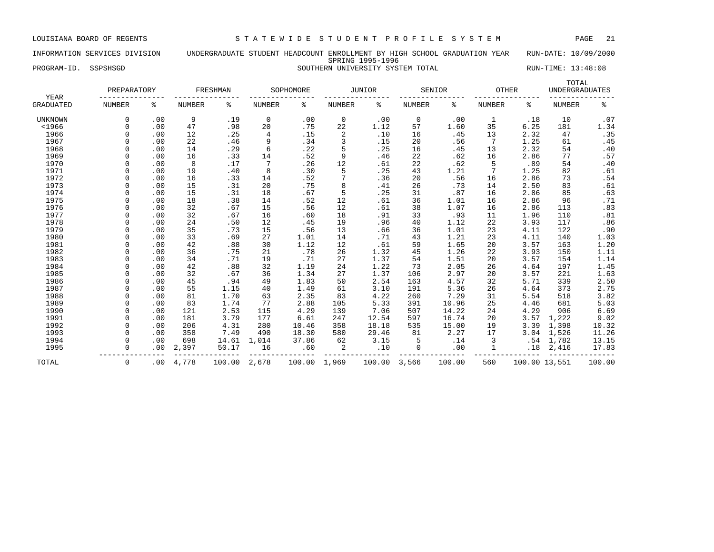### INFORMATION SERVICES DIVISION UNDERGRADUATE STUDENT HEADCOUNT ENROLLMENT BY HIGH SCHOOL GRADUATION YEAR RUN-DATE: 10/09/2000 SPRING 1995-1996 PROGRAM-ID. SSPSHSGD SOUTHERN UNIVERSITY SYSTEM TOTAL RUN-TIME: 13:48:08

| YEAR           | PREPARATORY   |     |        | FRESHMAN |               | SOPHOMORE |               | JUNIOR |             | SENIOR | OTHER         |               | TOTAL<br><b>UNDERGRADUATES</b> |        |
|----------------|---------------|-----|--------|----------|---------------|-----------|---------------|--------|-------------|--------|---------------|---------------|--------------------------------|--------|
| GRADUATED      | <b>NUMBER</b> | ႜ   | NUMBER | ႜ        | <b>NUMBER</b> | န့        | <b>NUMBER</b> | ႜ      | NUMBER      | ిక     | <b>NUMBER</b> | ႜ             | <b>NUMBER</b>                  | ి      |
| <b>UNKNOWN</b> | 0             | .00 | 9      | .19      | 0             | .00       | 0             | .00    | 0           | .00    | 1             | .18           | 10                             | .07    |
| $<$ 1966       | $\Omega$      | .00 | 47     | .98      | 20            | .75       | 22            | 1.12   | 57          | 1.60   | 35            | 6.25          | 181                            | 1.34   |
| 1966           | O             | .00 | 12     | .25      | 4             | .15       | 2             | .10    | 16          | .45    | 13            | 2.32          | 47                             | .35    |
| 1967           | O             | .00 | 22     | .46      | 9             | .34       | 3             | .15    | 20          | .56    | 7             | 1.25          | 61                             | .45    |
| 1968           | 0             | .00 | 14     | .29      | 6             | .22       | 5             | .25    | 16          | .45    | 13            | 2.32          | 54                             | .40    |
| 1969           | 0             | .00 | 16     | .33      | 14            | .52       | 9             | .46    | 22          | .62    | 16            | 2.86          | 77                             | .57    |
| 1970           | 0             | .00 | 8      | .17      | 7             | .26       | 12            | .61    | 22          | .62    | 5             | .89           | 54                             | .40    |
| 1971           | O             | .00 | 19     | .40      | 8             | .30       | 5             | .25    | 43          | 1.21   | 7             | 1.25          | 82                             | .61    |
| 1972           | 0             | .00 | 16     | .33      | 14            | .52       | 7             | .36    | 20          | .56    | 16            | 2.86          | 73                             | .54    |
| 1973           | O             | .00 | 15     | .31      | 20            | .75       | 8             | .41    | 26          | .73    | 14            | 2.50          | 83                             | .61    |
| 1974           |               | .00 | 15     | .31      | 18            | .67       | 5             | .25    | 31          | .87    | 16            | 2.86          | 85                             | .63    |
| 1975           |               | .00 | 18     | .38      | 14            | .52       | 12            | .61    | 36          | 1.01   | 16            | 2.86          | 96                             | .71    |
| 1976           |               | .00 | 32     | .67      | 15            | .56       | 12            | .61    | 38          | 1.07   | 16            | 2.86          | 113                            | .83    |
| 1977           | U             | .00 | 32     | .67      | 16            | .60       | 18            | .91    | 33          | .93    | 11            | 1.96          | 110                            | .81    |
| 1978           | O             | .00 | 24     | .50      | 12            | .45       | 19            | .96    | 40          | 1.12   | 22            | 3.93          | 117                            | .86    |
| 1979           | O             | .00 | 35     | .73      | 15            | .56       | 13            | .66    | 36          | 1.01   | 23            | 4.11          | 122                            | .90    |
| 1980           | O             | .00 | 33     | .69      | 27            | 1.01      | 14            | .71    | 43          | 1.21   | 23            | 4.11          | 140                            | 1.03   |
| 1981           | O             | .00 | 42     | .88      | 30            | 1.12      | 12            | .61    | 59          | 1.65   | 20            | 3.57          | 163                            | 1.20   |
| 1982           | 0             | .00 | 36     | .75      | 21            | .78       | 26            | 1.32   | 45          | 1.26   | 22            | 3.93          | 150                            | 1.11   |
| 1983           | 0             | .00 | 34     | .71      | 19            | .71       | 27            | 1.37   | 54          | 1.51   | 20            | 3.57          | 154                            | 1.14   |
| 1984           | O             | .00 | 42     | .88      | 32            | 1.19      | 24            | 1.22   | 73          | 2.05   | 26            | 4.64          | 197                            | 1.45   |
| 1985           | O             | .00 | 32     | .67      | 36            | 1.34      | 27            | 1.37   | 106         | 2.97   | 20            | 3.57          | 221                            | 1.63   |
| 1986           | O             | .00 | 45     | .94      | 49            | 1.83      | 50            | 2.54   | 163         | 4.57   | 32            | 5.71          | 339                            | 2.50   |
| 1987           |               | .00 | 55     | 1.15     | 40            | 1.49      | 61            | 3.10   | 191         | 5.36   | 26            | 4.64          | 373                            | 2.75   |
| 1988           |               | .00 | 81     | 1.70     | 63            | 2.35      | 83            | 4.22   | 260         | 7.29   | 31            | 5.54          | 518                            | 3.82   |
| 1989           | O             | .00 | 83     | 1.74     | 77            | 2.88      | 105           | 5.33   | 391         | 10.96  | 25            | 4.46          | 681                            | 5.03   |
| 1990           | $\Omega$      | .00 | 121    | 2.53     | 115           | 4.29      | 139           | 7.06   | 507         | 14.22  | 24            | 4.29          | 906                            | 6.69   |
| 1991           | O             | .00 | 181    | 3.79     | 177           | 6.61      | 247           | 12.54  | 597         | 16.74  | 20            | 3.57          | 1,222                          | 9.02   |
| 1992           | O             | .00 | 206    | 4.31     | 280           | 10.46     | 358           | 18.18  | 535         | 15.00  | 19            | 3.39          | 1,398                          | 10.32  |
| 1993           | O             | .00 | 358    | 7.49     | 490           | 18.30     | 580           | 29.46  | 81          | 2.27   | 17            | 3.04          | 1,526                          | 11.26  |
| 1994           | 0             | .00 | 698    | 14.61    | 1,014         | 37.86     | 62            | 3.15   | 5           | .14    | 3             | .54           | 1,782                          | 13.15  |
| 1995           | 0             | .00 | 2,397  | 50.17    | 16            | .60       | 2             | .10    | $\mathbf 0$ | .00    |               | .18           | 2,416                          | 17.83  |
| TOTAL          | $\mathbf 0$   | .00 | 4,778  | 100.00   | 2,678         | 100.00    | 1,969         | 100.00 | 3,566       | 100.00 | 560           | 100.00 13,551 |                                | 100.00 |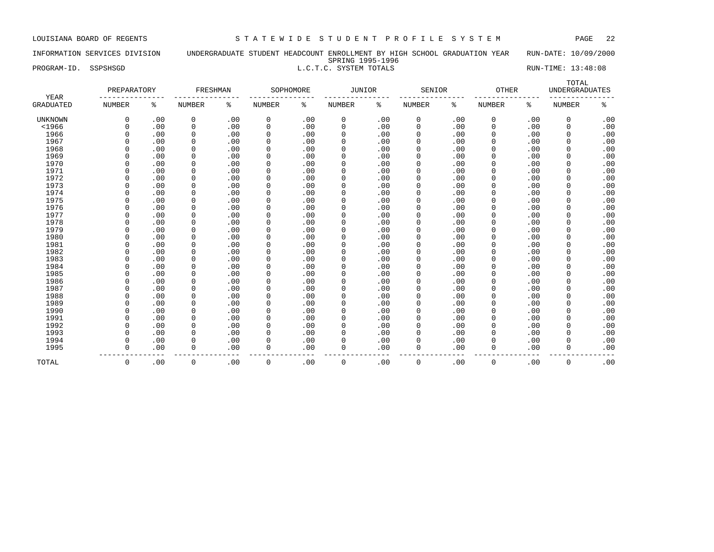### INFORMATION SERVICES DIVISION UNDERGRADUATE STUDENT HEADCOUNT ENROLLMENT BY HIGH SCHOOL GRADUATION YEAR RUN-DATE: 10/09/2000 SPRING 1995-1996

# PROGRAM-ID. SSPSHSGD **RUN-TIME:** 13:48:08 L.C.T.C. SYSTEM TOTALS

|                          | PREPARATORY   |     | FRESHMAN      |     |             | SOPHOMORE | JUNIOR        |     | SENIOR        |     | <b>OTHER</b>  |     | TOTAL<br><b>UNDERGRADUATES</b> |     |
|--------------------------|---------------|-----|---------------|-----|-------------|-----------|---------------|-----|---------------|-----|---------------|-----|--------------------------------|-----|
| YEAR<br><b>GRADUATED</b> | <b>NUMBER</b> | ႜ   | <b>NUMBER</b> | ႜ   | NUMBER      | ႜ         | <b>NUMBER</b> | ៖   | <b>NUMBER</b> | နွ  | <b>NUMBER</b> | နွ  | <b>NUMBER</b>                  | နွ  |
| <b>UNKNOWN</b>           | 0             | .00 | 0             | .00 | 0           | .00       | 0             | .00 | $\mathbf 0$   | .00 | 0             | .00 | 0                              | .00 |
| $<$ 1966                 | $\Omega$      | .00 | 0             | .00 | 0           | .00       | 0             | .00 | $\mathbf 0$   | .00 | 0             | .00 | 0                              | .00 |
| 1966                     | $\Omega$      | .00 | 0             | .00 | $\mathbf 0$ | .00       | 0             | .00 | $\mathbf 0$   | .00 | $\mathbf 0$   | .00 | $\mathbf 0$                    | .00 |
| 1967                     | $\Omega$      | .00 | 0             | .00 | $\mathbf 0$ | .00       | 0             | .00 | $\mathbf 0$   | .00 | $\mathbf 0$   | .00 | 0                              | .00 |
| 1968                     | $\Omega$      | .00 | 0             | .00 | 0           | .00       | 0             | .00 | $\mathbf 0$   | .00 | 0             | .00 | $\mathbf 0$                    | .00 |
| 1969                     | $\Omega$      | .00 | 0             | .00 | 0           | .00       | 0             | .00 | 0             | .00 | 0             | .00 | $\mathbf 0$                    | .00 |
| 1970                     | $\Omega$      | .00 | 0             | .00 | $\mathbf 0$ | .00       | 0             | .00 | $\Omega$      | .00 | $\Omega$      | .00 | $\mathbf 0$                    | .00 |
| 1971                     | $\Omega$      | .00 | 0             | .00 | $\mathbf 0$ | .00       | 0             | .00 | $\Omega$      | .00 | $\Omega$      | .00 | 0                              | .00 |
| 1972                     | $\Omega$      | .00 | 0             | .00 | $\mathbf 0$ | .00       | 0             | .00 | $\Omega$      | .00 | $\Omega$      | .00 | 0                              | .00 |
| 1973                     | $\Omega$      | .00 | $\mathbf 0$   | .00 | $\mathbf 0$ | .00       | $\mathbf 0$   | .00 | $\Omega$      | .00 | $\mathbf 0$   | .00 | 0                              | .00 |
| 1974                     | $\Omega$      | .00 | $\mathbf 0$   | .00 | $\mathbf 0$ | .00       | $\mathbf 0$   | .00 | $\Omega$      | .00 | $\mathbf 0$   | .00 | 0                              | .00 |
| 1975                     | $\Omega$      | .00 | 0             | .00 | $\mathbf 0$ | .00       | 0             | .00 | $\Omega$      | .00 | $\mathbf 0$   | .00 | $\mathbf 0$                    | .00 |
| 1976                     | $\Omega$      | .00 | 0             | .00 | $\mathbf 0$ | .00       | 0             | .00 | $\mathbf 0$   | .00 | $\mathbf 0$   | .00 | 0                              | .00 |
| 1977                     | $\Omega$      | .00 | 0             | .00 | $\mathbf 0$ | .00       | 0             | .00 | $\mathbf 0$   | .00 | $\mathbf 0$   | .00 | 0                              | .00 |
| 1978                     | $\Omega$      | .00 | 0             | .00 | $\mathbf 0$ | .00       | 0             | .00 | $\Omega$      | .00 | $\mathbf 0$   | .00 | 0                              | .00 |
| 1979                     | $\Omega$      | .00 | 0             | .00 | $\mathbf 0$ | .00       | 0             | .00 | $\mathbf 0$   | .00 | $\mathbf 0$   | .00 | 0                              | .00 |
| 1980                     | $\Omega$      | .00 | 0             | .00 | $\mathbf 0$ | .00       | 0             | .00 | $\Omega$      | .00 | $\Omega$      | .00 | 0                              | .00 |
| 1981                     | $\cap$        | .00 | 0             | .00 | $\mathbf 0$ | .00       | 0             | .00 | $\Omega$      | .00 | $\Omega$      | .00 | $\mathbf 0$                    | .00 |
| 1982                     | $\cap$        | .00 | 0             | .00 | $\mathbf 0$ | .00       | 0             | .00 | $\Omega$      | .00 | $\Omega$      | .00 | 0                              | .00 |
| 1983                     | $\Omega$      | .00 | 0             | .00 | 0           | .00       | 0             | .00 | $\Omega$      | .00 | $\Omega$      | .00 | 0                              | .00 |
| 1984                     | $\Omega$      | .00 | $\mathbf 0$   | .00 | $\mathbf 0$ | .00       | 0             | .00 | $\Omega$      | .00 | 0             | .00 | $\Omega$                       | .00 |
| 1985                     | $\Omega$      | .00 | $\mathbf 0$   | .00 | $\mathbf 0$ | .00       | $\mathbf 0$   | .00 | $\circ$       | .00 | $\mathbf 0$   | .00 | 0                              | .00 |
| 1986                     | $\Omega$      | .00 | $\mathbf 0$   | .00 | $\mathbf 0$ | .00       | $\mathbf 0$   | .00 | $\circ$       | .00 | $\mathbf 0$   | .00 | 0                              | .00 |
| 1987                     | $\Omega$      | .00 | 0             | .00 | $\mathbf 0$ | .00       | 0             | .00 | $\Omega$      | .00 | $\mathbf 0$   | .00 | 0                              | .00 |
| 1988                     | $\Omega$      | .00 | 0             | .00 | $\mathbf 0$ | .00       | 0             | .00 | $\mathbf 0$   | .00 | $\mathbf 0$   | .00 | 0                              | .00 |
| 1989                     | $\Omega$      | .00 | 0             | .00 | $\mathbf 0$ | .00       | 0             | .00 | $\mathbf 0$   | .00 | $\mathbf 0$   | .00 | $\mathbf 0$                    | .00 |
| 1990                     | $\Omega$      | .00 | 0             | .00 | 0           | .00       | 0             | .00 | $\mathbf 0$   | .00 | 0             | .00 | 0                              | .00 |
| 1991                     | $\Omega$      | .00 | $\mathbf 0$   | .00 | $\mathbf 0$ | .00       | $\mathbf 0$   | .00 | $\Omega$      | .00 | $\Omega$      | .00 | $\mathbf 0$                    | .00 |
| 1992                     | $\Omega$      | .00 | 0             | .00 | $\mathbf 0$ | .00       | 0             | .00 | $\Omega$      | .00 | 0             | .00 | 0                              | .00 |
| 1993                     | $\Omega$      | .00 | $\mathbf 0$   | .00 | $\mathbf 0$ | .00       | 0             | .00 | $\Omega$      | .00 | $\Omega$      | .00 | $\Omega$                       | .00 |
| 1994                     | $\Omega$      | .00 | 0             | .00 | 0           | .00       | 0             | .00 | $\Omega$      | .00 | $\Omega$      | .00 | $\Omega$                       | .00 |
| 1995                     | $\mathbf 0$   | .00 | $\mathbf 0$   | .00 | $\mathbf 0$ | .00       | 0             | .00 | $\mathbf 0$   | .00 | 0             | .00 | $\mathbf 0$                    | .00 |
| TOTAL                    | $\mathsf 0$   | .00 | $\mathbf 0$   | .00 | $\mathbf 0$ | .00       | $\mathbf 0$   | .00 | $\mathbf 0$   | .00 | 0             | .00 | $\mathbf 0$                    | .00 |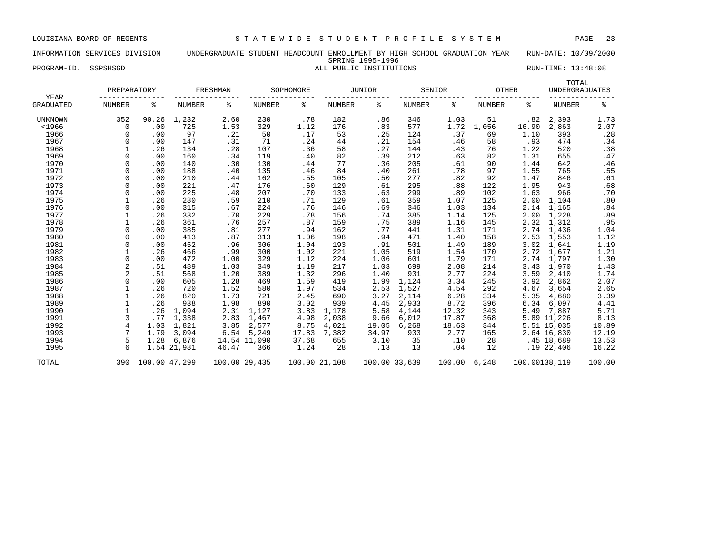### INFORMATION SERVICES DIVISION UNDERGRADUATE STUDENT HEADCOUNT ENROLLMENT BY HIGH SCHOOL GRADUATION YEAR RUN-DATE: 10/09/2000 SPRING 1995-1996 PROGRAM-ID. SSPSHSGD **ALL PUBLIC INSTITUTIONS** RUN-TIME: 13:48:08

| YEAR             | PREPARATORY    |               |               | FRESHMAN |               | SOPHOMORE |               | <b>JUNIOR</b> |        | SENIOR | <b>OTHER</b>  |               | TOTAL<br><b>UNDERGRADUATES</b> |        |
|------------------|----------------|---------------|---------------|----------|---------------|-----------|---------------|---------------|--------|--------|---------------|---------------|--------------------------------|--------|
| <b>GRADUATED</b> | <b>NUMBER</b>  | ి             | <b>NUMBER</b> | ៖        | NUMBER        | ႜ         | NUMBER        | ႜ             | NUMBER | ႜ      | <b>NUMBER</b> | ႜ             | <b>NUMBER</b>                  | နွ     |
| UNKNOWN          | 352            | 90.26         | 1,232         | 2.60     | 230           | .78       | 182           | .86           | 346    | 1.03   | 51            | .82           | 2,393                          | 1.73   |
| $<$ 1966         | 0              | .00           | 725           | 1.53     | 329           | 1.12      | 176           | .83           | 577    | 1.72   | 1,056         | 16.90         | 2,863                          | 2.07   |
| 1966             | $\Omega$       | .00           | 97            | .21      | 50            | .17       | 53            | .25           | 124    | .37    | 69            | 1.10          | 393                            | .28    |
| 1967             |                | .00           | 147           | .31      | 71            | .24       | 44            | .21           | 154    | .46    | 58            | .93           | 474                            | .34    |
| 1968             |                | .26           | 134           | .28      | 107           | .36       | 58            | .27           | 144    | .43    | 76            | 1.22          | 520                            | .38    |
| 1969             | $\Omega$       | .00           | 160           | .34      | 119           | .40       | 82            | .39           | 212    | .63    | 82            | 1.31          | 655                            | .47    |
| 1970             | $\Omega$       | .00           | 140           | .30      | 130           | .44       | 77            | .36           | 205    | .61    | 90            | 1.44          | 642                            | .46    |
| 1971             | $\Omega$       | .00           | 188           | .40      | 135           | .46       | 84            | .40           | 261    | .78    | 97            | 1.55          | 765                            | .55    |
| 1972             | $\Omega$       | .00           | 210           | .44      | 162           | .55       | 105           | .50           | 277    | .82    | 92            | 1.47          | 846                            | .61    |
| 1973             | $\Omega$       | .00           | 221           | .47      | 176           | .60       | 129           | .61           | 295    | .88    | 122           | 1.95          | 943                            | .68    |
| 1974             | $\Omega$       | .00           | 225           | .48      | 207           | .70       | 133           | .63           | 299    | .89    | 102           | 1.63          | 966                            | .70    |
| 1975             |                | .26           | 280           | .59      | 210           | .71       | 129           | .61           | 359    | 1.07   | 125           | 2.00          | 1,104                          | .80    |
| 1976             |                | .00           | 315           | .67      | 224           | .76       | 146           | .69           | 346    | 1.03   | 134           | 2.14          | 1,165                          | .84    |
| 1977             |                | .26           | 332           | .70      | 229           | .78       | 156           | .74           | 385    | 1.14   | 125           | 2.00          | 1,228                          | .89    |
| 1978             |                | .26           | 361           | .76      | 257           | .87       | 159           | .75           | 389    | 1.16   | 145           | 2.32          | 1,312                          | .95    |
| 1979             | $\Omega$       | .00           | 385           | .81      | 277           | .94       | 162           | .77           | 441    | 1.31   | 171           | 2.74          | 1,436                          | 1.04   |
| 1980             | $\Omega$       | .00           | 413           | .87      | 313           | 1.06      | 198           | .94           | 471    | 1.40   | 158           | 2.53          | 1,553                          | 1.12   |
| 1981             | $\Omega$       | .00           | 452           | .96      | 306           | 1.04      | 193           | .91           | 501    | 1.49   | 189           | 3.02          | 1,641                          | 1.19   |
| 1982             |                | .26           | 466           | .99      | 300           | 1.02      | 221           | 1.05          | 519    | 1.54   | 170           | 2.72          | 1,677                          | 1.21   |
| 1983             |                | .00           | 472           | 1.00     | 329           | 1.12      | 224           | 1.06          | 601    | 1.79   | 171           | 2.74          | 1,797                          | 1.30   |
| 1984             |                | .51           | 489           | 1.03     | 349           | 1.19      | 217           | 1.03          | 699    | 2.08   | 214           | 3.43          | 1,970                          | 1.43   |
| 1985             | $\overline{c}$ | .51           | 568           | 1.20     | 389           | 1.32      | 296           | 1.40          | 931    | 2.77   | 224           | 3.59          | 2,410                          | 1.74   |
| 1986             | $\Omega$       | .00           | 605           | 1.28     | 469           | 1.59      | 419           | 1.99          | 1,124  | 3.34   | 245           | 3.92          | 2,862                          | 2.07   |
| 1987             |                | .26           | 720           | 1.52     | 580           | 1.97      | 534           | 2.53          | 1,527  | 4.54   | 292           | 4.67          | 3,654                          | 2.65   |
| 1988             |                | .26           | 820           | 1.73     | 721           | 2.45      | 690           | 3.27          | 2,114  | 6.28   | 334           | 5.35          | 4,680                          | 3.39   |
| 1989             |                | .26           | 938           | 1.98     | 890           | 3.02      | 939           | 4.45          | 2,933  | 8.72   | 396           | 6.34          | 6,097                          | 4.41   |
| 1990             |                | .26           | 1,094         | 2.31     | 1,127         | 3.83      | 1,178         | 5.58          | 4,144  | 12.32  | 343           | 5.49          | 7,887                          | 5.71   |
| 1991             | 3              | .77           | 1,338         | 2.83     | 1,467         | 4.98      | 2,038         | 9.66          | 6,012  | 17.87  | 368           |               | 5.89 11,226                    | 8.13   |
| 1992             | $\overline{4}$ | 1.03          | 1,821         | 3.85     | 2,577         | 8.75      | 4,021         | 19.05         | 6,268  | 18.63  | 344           |               | 5.51 15,035                    | 10.89  |
| 1993             | 7              | 1.79          | 3,094         | 6.54     | 5,249         | 17.83     | 7,382         | 34.97         | 933    | 2.77   | 165           |               | 2.64 16,830                    | 12.19  |
| 1994             | 5              | 1.28          | 6,876         |          | 14.54 11,090  | 37.68     | 655           | 3.10          | 35     | .10    | 28            |               | $.45$ 18,689                   | 13.53  |
| 1995             |                |               | 1.54 21,981   | 46.47    | 366           | 1.24      | 28            | .13           | 13     | .04    | 12            |               | .1922,406                      | 16.22  |
| TOTAL            | 390            | 100.00 47,299 |               |          | 100.00 29,435 |           | 100.00 21,108 | 100.00 33,639 |        | 100.00 | 6,248         | 100.00138,119 |                                | 100.00 |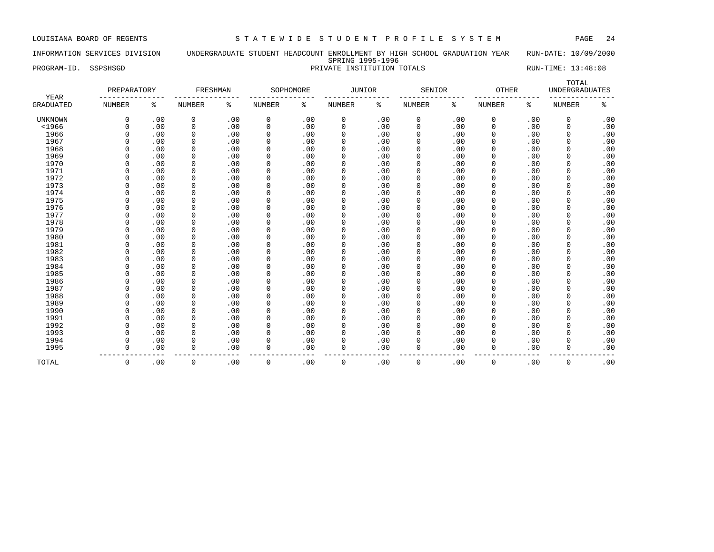### INFORMATION SERVICES DIVISION UNDERGRADUATE STUDENT HEADCOUNT ENROLLMENT BY HIGH SCHOOL GRADUATION YEAR RUN-DATE: 10/09/2000 SPRING 1995-1996 PROGRAM-ID. SSPSHSGD PRIVATE INSTITUTION TOTALS RUN-TIME: 13:48:08

| YEAR             | PREPARATORY   |     | FRESHMAN      |     |             | SOPHOMORE | <b>JUNIOR</b> |     | SENIOR        |     | OTHER         |     | TOTAL<br><b>UNDERGRADUATES</b> |     |
|------------------|---------------|-----|---------------|-----|-------------|-----------|---------------|-----|---------------|-----|---------------|-----|--------------------------------|-----|
| <b>GRADUATED</b> | <b>NUMBER</b> | ႜ   | <b>NUMBER</b> | ႜ   | NUMBER      | ႜ         | <b>NUMBER</b> | နွ  | <b>NUMBER</b> | ៖   | <b>NUMBER</b> | ి   | <b>NUMBER</b>                  | ిక  |
| <b>UNKNOWN</b>   | $\mathbf 0$   | .00 | 0             | .00 | 0           | .00       | 0             | .00 | 0             | .00 | 0             | .00 | 0                              | .00 |
| $<$ 1966         | $\Omega$      | .00 | $\mathbf 0$   | .00 | $\mathbf 0$ | .00       | $\mathbf 0$   | .00 | 0             | .00 | $\Omega$      | .00 | $\mathbf 0$                    | .00 |
| 1966             | $\Omega$      | .00 | 0             | .00 | $\mathbf 0$ | .00       | 0             | .00 | 0             | .00 | $\Omega$      | .00 | 0                              | .00 |
| 1967             | $\Omega$      | .00 | $\mathbf 0$   | .00 | $\mathbf 0$ | .00       | 0             | .00 | $\mathbf 0$   | .00 | 0             | .00 | $\mathbf 0$                    | .00 |
| 1968             | $\Omega$      | .00 | $\mathbf 0$   | .00 | $\mathbf 0$ | .00       | $\Omega$      | .00 | 0             | .00 | 0             | .00 | $\mathbf 0$                    | .00 |
| 1969             | $\Omega$      | .00 | $\mathbf 0$   | .00 | $\mathbf 0$ | .00       | $\Omega$      | .00 | 0             | .00 | 0             | .00 | $\Omega$                       | .00 |
| 1970             | $\Omega$      | .00 | $\mathbf 0$   | .00 | $\mathbf 0$ | .00       | $\Omega$      | .00 | 0             | .00 | $\mathbf 0$   | .00 | $\mathbf 0$                    | .00 |
| 1971             | $\Omega$      | .00 | $\mathbf 0$   | .00 | $\mathbf 0$ | .00       | 0             | .00 | 0             | .00 | $\mathbf 0$   | .00 | 0                              | .00 |
| 1972             | $\Omega$      | .00 | $\mathbf 0$   | .00 | $\mathbf 0$ | .00       | 0             | .00 | $\mathbf 0$   | .00 | $\Omega$      | .00 | $\Omega$                       | .00 |
| 1973             | $\Omega$      | .00 | $\mathbf 0$   | .00 | 0           | .00       | 0             | .00 | $\mathbf 0$   | .00 | $\Omega$      | .00 | $\Omega$                       | .00 |
| 1974             | $\Omega$      | .00 | 0             | .00 | 0           | .00       | 0             | .00 | 0             | .00 | 0             | .00 | $\Omega$                       | .00 |
| 1975             | $\Omega$      | .00 | $\mathbf 0$   | .00 | 0           | .00       | $\Omega$      | .00 | $\Omega$      | .00 | O             | .00 | $\Omega$                       | .00 |
| 1976             | $\Omega$      | .00 | $\mathbf 0$   | .00 | 0           | .00       | $\Omega$      | .00 | $\Omega$      | .00 | 0             | .00 | $\Omega$                       | .00 |
| 1977             | $\Omega$      | .00 | $\mathbf 0$   | .00 | 0           | .00       | $\Omega$      | .00 | $\mathbf 0$   | .00 | $\Omega$      | .00 | $\mathbf 0$                    | .00 |
| 1978             | $\Omega$      | .00 | $\mathbf 0$   | .00 | 0           | .00       | $\Omega$      | .00 | 0             | .00 | $\Omega$      | .00 | $\mathbf 0$                    | .00 |
| 1979             | $\Omega$      | .00 | $\Omega$      | .00 | $\mathbf 0$ | .00       | $\Omega$      | .00 | $\Omega$      | .00 | $\Omega$      | .00 | $\Omega$                       | .00 |
| 1980             | $\Omega$      | .00 | 0             | .00 | 0           | .00       | $\Omega$      | .00 | $\mathbf 0$   | .00 | 0             | .00 | 0                              | .00 |
| 1981             | $\Omega$      | .00 | 0             | .00 | 0           | .00       | 0             | .00 | 0             | .00 | 0             | .00 | $\mathbf 0$                    | .00 |
| 1982             | $\mathbf 0$   | .00 | 0             | .00 | $\mathbf 0$ | .00       | 0             | .00 | $\mathbf 0$   | .00 | $\mathbf 0$   | .00 | $\mathbf 0$                    | .00 |
| 1983             | $\Omega$      | .00 | $\mathbf 0$   | .00 | 0           | .00       | $\Omega$      | .00 | 0             | .00 | 0             | .00 | 0                              | .00 |
| 1984             | $\mathbf 0$   | .00 | $\mathbf 0$   | .00 | $\mathbf 0$ | .00       | $\mathbf 0$   | .00 | 0             | .00 | $\mathbf 0$   | .00 | 0                              | .00 |
| 1985             | $\Omega$      | .00 | $\mathbf 0$   | .00 | 0           | .00       | 0             | .00 | 0             | .00 | $\mathbf 0$   | .00 | $\mathbf 0$                    | .00 |
| 1986             | $\Omega$      | .00 | 0             | .00 | 0           | .00       | 0             | .00 | $\mathbf 0$   | .00 | 0             | .00 | 0                              | .00 |
| 1987             | $\Omega$      | .00 | 0             | .00 | 0           | .00       | 0             | .00 | 0             | .00 | 0             | .00 | 0                              | .00 |
| 1988             | $\Omega$      | .00 | 0             | .00 | 0           | .00       | 0             | .00 | $\mathbf 0$   | .00 | 0             | .00 | $\Omega$                       | .00 |
| 1989             | $\Omega$      | .00 | 0             | .00 | 0           | .00       | 0             | .00 | $\mathbf 0$   | .00 | $\Omega$      | .00 | $\Omega$                       | .00 |
| 1990             | $\Omega$      | .00 | $\mathbf 0$   | .00 | 0           | .00       | $\mathbf 0$   | .00 | $\mathbf 0$   | .00 | $\Omega$      | .00 | $\mathbf 0$                    | .00 |
| 1991             | $\Omega$      | .00 | $\Omega$      | .00 | 0           | .00       | $\Omega$      | .00 | $\Omega$      | .00 | $\Omega$      | .00 | $\Omega$                       | .00 |
| 1992             | $\Omega$      | .00 | $\Omega$      | .00 | $\mathbf 0$ | .00       | $\Omega$      | .00 | $\Omega$      | .00 | $\Omega$      | .00 | 0                              | .00 |
| 1993             | $\Omega$      | .00 | 0             | .00 | $\mathbf 0$ | .00       | 0             | .00 | $\mathbf 0$   | .00 | $\Omega$      | .00 | 0                              | .00 |
| 1994             | $\mathbf 0$   | .00 | 0             | .00 | $\mathbf 0$ | .00       | 0             | .00 | $\mathbf 0$   | .00 | 0             | .00 | 0                              | .00 |
| 1995             | $\mathbf 0$   | .00 | 0             | .00 | $\mathbf 0$ | .00       | $\Omega$      | .00 | $\mathbf 0$   | .00 | 0             | .00 | $\mathbf 0$                    | .00 |
| TOTAL            | 0             | .00 | $\mathbf 0$   | .00 | 0           | .00       | $\mathbf 0$   | .00 | $\mathbf 0$   | .00 | $\mathbf 0$   | .00 | 0                              | .00 |